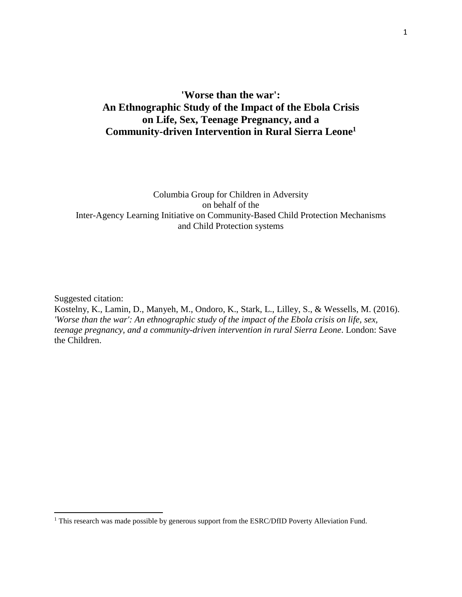# **'Worse than the war': An Ethnographic Study of the Impact of the Ebola Crisis on Life, Sex, Teenage Pregnancy, and a Community-driven Intervention in Rural Sierra Leone1**

# Columbia Group for Children in Adversity on behalf of the Inter-Agency Learning Initiative on Community-Based Child Protection Mechanisms and Child Protection systems

Suggested citation:

 $\overline{\phantom{a}}$ 

Kostelny, K., Lamin, D., Manyeh, M., Ondoro, K., Stark, L., Lilley, S., & Wessells, M. (2016). *'Worse than the war': An ethnographic study of the impact of the Ebola crisis on life, sex, teenage pregnancy, and a community-driven intervention in rural Sierra Leone*. London: Save the Children.

<sup>&</sup>lt;sup>1</sup> This research was made possible by generous support from the ESRC/DfID Poverty Alleviation Fund.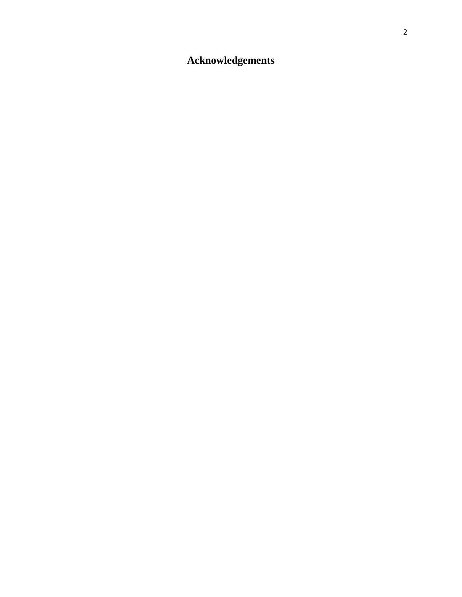# **Acknowledgements**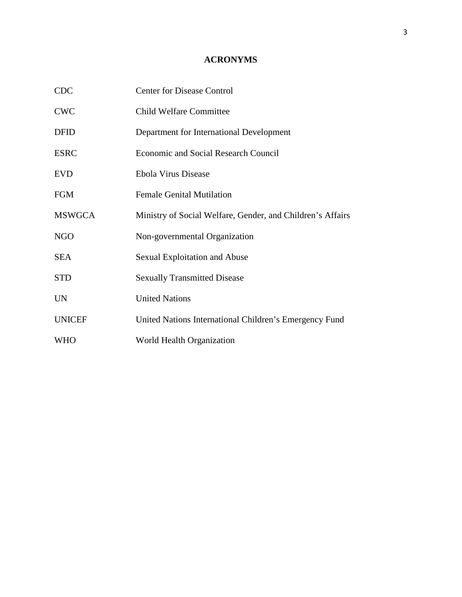# **ACRONYMS**

| <b>CDC</b>    | <b>Center for Disease Control</b>                          |
|---------------|------------------------------------------------------------|
| <b>CWC</b>    | <b>Child Welfare Committee</b>                             |
| <b>DFID</b>   | Department for International Development                   |
| <b>ESRC</b>   | <b>Economic and Social Research Council</b>                |
| <b>EVD</b>    | Ebola Virus Disease                                        |
| <b>FGM</b>    | <b>Female Genital Mutilation</b>                           |
| <b>MSWGCA</b> | Ministry of Social Welfare, Gender, and Children's Affairs |
| <b>NGO</b>    | Non-governmental Organization                              |
| <b>SEA</b>    | Sexual Exploitation and Abuse                              |
| <b>STD</b>    | <b>Sexually Transmitted Disease</b>                        |
| <b>UN</b>     | <b>United Nations</b>                                      |
| <b>UNICEF</b> | United Nations International Children's Emergency Fund     |
| <b>WHO</b>    | World Health Organization                                  |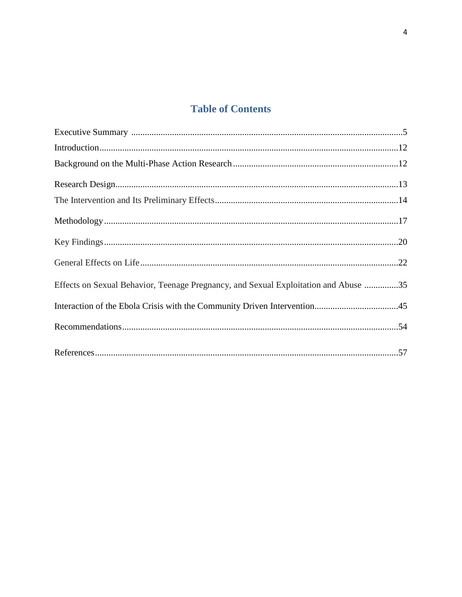# **Table of Contents**

| Effects on Sexual Behavior, Teenage Pregnancy, and Sexual Exploitation and Abuse 35 |  |
|-------------------------------------------------------------------------------------|--|
|                                                                                     |  |
|                                                                                     |  |
|                                                                                     |  |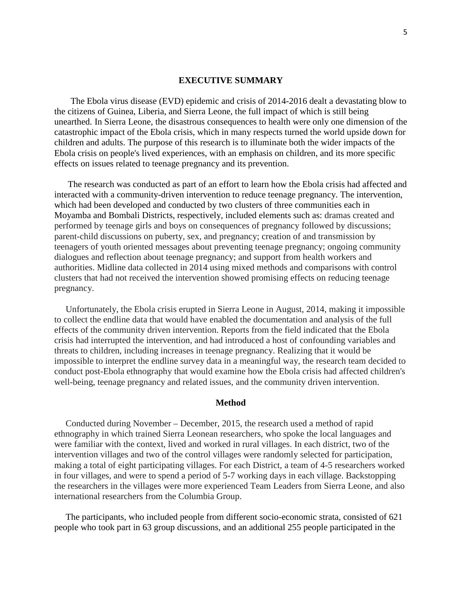#### **EXECUTIVE SUMMARY**

The Ebola virus disease (EVD) epidemic and crisis of 2014-2016 dealt a devastating blow to the citizens of Guinea, Liberia, and Sierra Leone, the full impact of which is still being unearthed. In Sierra Leone, the disastrous consequences to health were only one dimension of the catastrophic impact of the Ebola crisis, which in many respects turned the world upside down for children and adults. The purpose of this research is to illuminate both the wider impacts of the Ebola crisis on people's lived experiences, with an emphasis on children, and its more specific effects on issues related to teenage pregnancy and its prevention.

 The research was conducted as part of an effort to learn how the Ebola crisis had affected and interacted with a community-driven intervention to reduce teenage pregnancy. The intervention, which had been developed and conducted by two clusters of three communities each in Moyamba and Bombali Districts, respectively, included elements such as: dramas created and performed by teenage girls and boys on consequences of pregnancy followed by discussions; parent-child discussions on puberty, sex, and pregnancy; creation of and transmission by teenagers of youth oriented messages about preventing teenage pregnancy; ongoing community dialogues and reflection about teenage pregnancy; and support from health workers and authorities. Midline data collected in 2014 using mixed methods and comparisons with control clusters that had not received the intervention showed promising effects on reducing teenage pregnancy.

 Unfortunately, the Ebola crisis erupted in Sierra Leone in August, 2014, making it impossible to collect the endline data that would have enabled the documentation and analysis of the full effects of the community driven intervention. Reports from the field indicated that the Ebola crisis had interrupted the intervention, and had introduced a host of confounding variables and threats to children, including increases in teenage pregnancy. Realizing that it would be impossible to interpret the endline survey data in a meaningful way, the research team decided to conduct post-Ebola ethnography that would examine how the Ebola crisis had affected children's well-being, teenage pregnancy and related issues, and the community driven intervention.

#### **Method**

 Conducted during November – December, 2015, the research used a method of rapid ethnography in which trained Sierra Leonean researchers, who spoke the local languages and were familiar with the context, lived and worked in rural villages. In each district, two of the intervention villages and two of the control villages were randomly selected for participation, making a total of eight participating villages. For each District, a team of 4-5 researchers worked in four villages, and were to spend a period of 5-7 working days in each village. Backstopping the researchers in the villages were more experienced Team Leaders from Sierra Leone, and also international researchers from the Columbia Group.

 The participants, who included people from different socio-economic strata, consisted of 621 people who took part in 63 group discussions, and an additional 255 people participated in the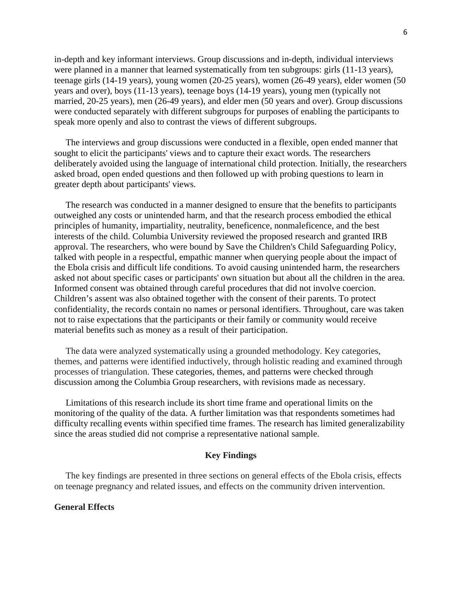in-depth and key informant interviews. Group discussions and in-depth, individual interviews were planned in a manner that learned systematically from ten subgroups: girls (11-13 years), teenage girls (14-19 years), young women (20-25 years), women (26-49 years), elder women (50 years and over), boys (11-13 years), teenage boys (14-19 years), young men (typically not married, 20-25 years), men (26-49 years), and elder men (50 years and over). Group discussions were conducted separately with different subgroups for purposes of enabling the participants to speak more openly and also to contrast the views of different subgroups.

 The interviews and group discussions were conducted in a flexible, open ended manner that sought to elicit the participants' views and to capture their exact words. The researchers deliberately avoided using the language of international child protection. Initially, the researchers asked broad, open ended questions and then followed up with probing questions to learn in greater depth about participants' views.

 The research was conducted in a manner designed to ensure that the benefits to participants outweighed any costs or unintended harm, and that the research process embodied the ethical principles of humanity, impartiality, neutrality, beneficence, nonmaleficence, and the best interests of the child. Columbia University reviewed the proposed research and granted IRB approval. The researchers, who were bound by Save the Children's Child Safeguarding Policy, talked with people in a respectful, empathic manner when querying people about the impact of the Ebola crisis and difficult life conditions. To avoid causing unintended harm, the researchers asked not about specific cases or participants' own situation but about all the children in the area. Informed consent was obtained through careful procedures that did not involve coercion. Children's assent was also obtained together with the consent of their parents. To protect confidentiality, the records contain no names or personal identifiers. Throughout, care was taken not to raise expectations that the participants or their family or community would receive material benefits such as money as a result of their participation.

 The data were analyzed systematically using a grounded methodology. Key categories, themes, and patterns were identified inductively, through holistic reading and examined through processes of triangulation. These categories, themes, and patterns were checked through discussion among the Columbia Group researchers, with revisions made as necessary.

 Limitations of this research include its short time frame and operational limits on the monitoring of the quality of the data. A further limitation was that respondents sometimes had difficulty recalling events within specified time frames. The research has limited generalizability since the areas studied did not comprise a representative national sample.

#### **Key Findings**

 The key findings are presented in three sections on general effects of the Ebola crisis, effects on teenage pregnancy and related issues, and effects on the community driven intervention.

# **General Effects**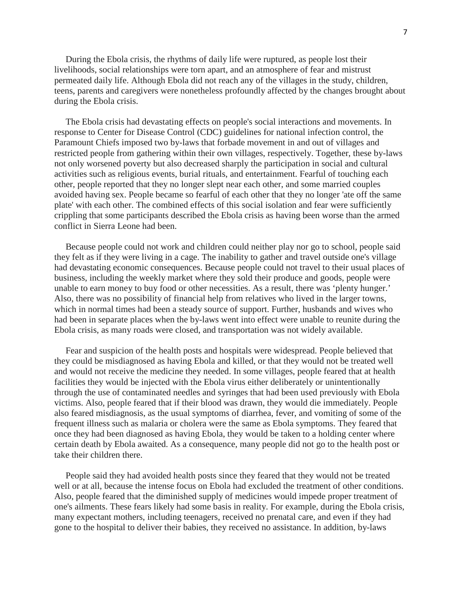During the Ebola crisis, the rhythms of daily life were ruptured, as people lost their livelihoods, social relationships were torn apart, and an atmosphere of fear and mistrust permeated daily life. Although Ebola did not reach any of the villages in the study, children, teens, parents and caregivers were nonetheless profoundly affected by the changes brought about during the Ebola crisis.

 The Ebola crisis had devastating effects on people's social interactions and movements. In response to Center for Disease Control (CDC) guidelines for national infection control, the Paramount Chiefs imposed two by-laws that forbade movement in and out of villages and restricted people from gathering within their own villages, respectively. Together, these by-laws not only worsened poverty but also decreased sharply the participation in social and cultural activities such as religious events, burial rituals, and entertainment. Fearful of touching each other, people reported that they no longer slept near each other, and some married couples avoided having sex. People became so fearful of each other that they no longer 'ate off the same plate' with each other. The combined effects of this social isolation and fear were sufficiently crippling that some participants described the Ebola crisis as having been worse than the armed conflict in Sierra Leone had been.

 Because people could not work and children could neither play nor go to school, people said they felt as if they were living in a cage. The inability to gather and travel outside one's village had devastating economic consequences. Because people could not travel to their usual places of business, including the weekly market where they sold their produce and goods, people were unable to earn money to buy food or other necessities. As a result, there was 'plenty hunger.' Also, there was no possibility of financial help from relatives who lived in the larger towns, which in normal times had been a steady source of support. Further, husbands and wives who had been in separate places when the by-laws went into effect were unable to reunite during the Ebola crisis, as many roads were closed, and transportation was not widely available.

 Fear and suspicion of the health posts and hospitals were widespread. People believed that they could be misdiagnosed as having Ebola and killed, or that they would not be treated well and would not receive the medicine they needed. In some villages, people feared that at health facilities they would be injected with the Ebola virus either deliberately or unintentionally through the use of contaminated needles and syringes that had been used previously with Ebola victims. Also, people feared that if their blood was drawn, they would die immediately. People also feared misdiagnosis, as the usual symptoms of diarrhea, fever, and vomiting of some of the frequent illness such as malaria or cholera were the same as Ebola symptoms. They feared that once they had been diagnosed as having Ebola, they would be taken to a holding center where certain death by Ebola awaited. As a consequence, many people did not go to the health post or take their children there.

 People said they had avoided health posts since they feared that they would not be treated well or at all, because the intense focus on Ebola had excluded the treatment of other conditions. Also, people feared that the diminished supply of medicines would impede proper treatment of one's ailments. These fears likely had some basis in reality. For example, during the Ebola crisis, many expectant mothers, including teenagers, received no prenatal care, and even if they had gone to the hospital to deliver their babies, they received no assistance. In addition, by-laws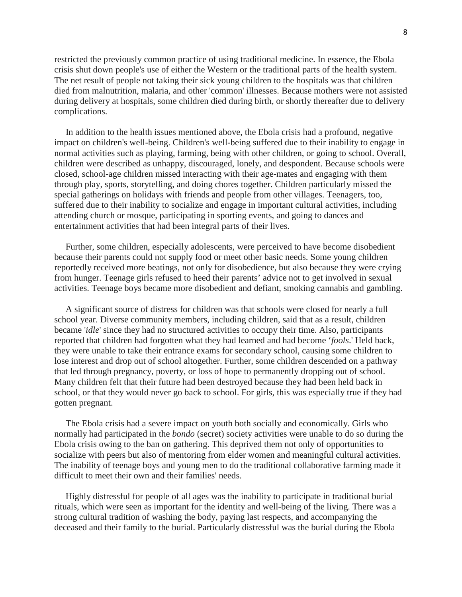restricted the previously common practice of using traditional medicine. In essence, the Ebola crisis shut down people's use of either the Western or the traditional parts of the health system. The net result of people not taking their sick young children to the hospitals was that children died from malnutrition, malaria, and other 'common' illnesses. Because mothers were not assisted during delivery at hospitals, some children died during birth, or shortly thereafter due to delivery complications.

 In addition to the health issues mentioned above, the Ebola crisis had a profound, negative impact on children's well-being. Children's well-being suffered due to their inability to engage in normal activities such as playing, farming, being with other children, or going to school. Overall, children were described as unhappy, discouraged, lonely, and despondent. Because schools were closed, school-age children missed interacting with their age-mates and engaging with them through play, sports, storytelling, and doing chores together. Children particularly missed the special gatherings on holidays with friends and people from other villages. Teenagers, too, suffered due to their inability to socialize and engage in important cultural activities, including attending church or mosque, participating in sporting events, and going to dances and entertainment activities that had been integral parts of their lives.

 Further, some children, especially adolescents, were perceived to have become disobedient because their parents could not supply food or meet other basic needs. Some young children reportedly received more beatings, not only for disobedience, but also because they were crying from hunger. Teenage girls refused to heed their parents' advice not to get involved in sexual activities. Teenage boys became more disobedient and defiant, smoking cannabis and gambling.

 A significant source of distress for children was that schools were closed for nearly a full school year. Diverse community members, including children, said that as a result, children became '*idle*' since they had no structured activities to occupy their time. Also, participants reported that children had forgotten what they had learned and had become '*fools*.' Held back, they were unable to take their entrance exams for secondary school, causing some children to lose interest and drop out of school altogether. Further, some children descended on a pathway that led through pregnancy, poverty, or loss of hope to permanently dropping out of school. Many children felt that their future had been destroyed because they had been held back in school, or that they would never go back to school. For girls, this was especially true if they had gotten pregnant.

 The Ebola crisis had a severe impact on youth both socially and economically. Girls who normally had participated in the *bondo* (secret) society activities were unable to do so during the Ebola crisis owing to the ban on gathering. This deprived them not only of opportunities to socialize with peers but also of mentoring from elder women and meaningful cultural activities. The inability of teenage boys and young men to do the traditional collaborative farming made it difficult to meet their own and their families' needs.

 Highly distressful for people of all ages was the inability to participate in traditional burial rituals, which were seen as important for the identity and well-being of the living. There was a strong cultural tradition of washing the body, paying last respects, and accompanying the deceased and their family to the burial. Particularly distressful was the burial during the Ebola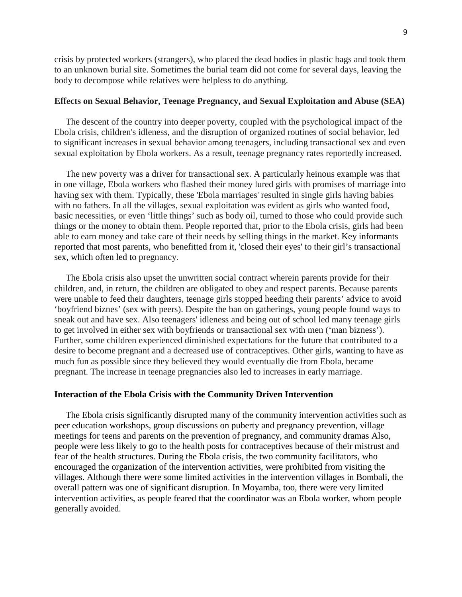crisis by protected workers (strangers), who placed the dead bodies in plastic bags and took them to an unknown burial site. Sometimes the burial team did not come for several days, leaving the body to decompose while relatives were helpless to do anything.

#### **Effects on Sexual Behavior, Teenage Pregnancy, and Sexual Exploitation and Abuse (SEA)**

 The descent of the country into deeper poverty, coupled with the psychological impact of the Ebola crisis, children's idleness, and the disruption of organized routines of social behavior, led to significant increases in sexual behavior among teenagers, including transactional sex and even sexual exploitation by Ebola workers. As a result, teenage pregnancy rates reportedly increased.

 The new poverty was a driver for transactional sex. A particularly heinous example was that in one village, Ebola workers who flashed their money lured girls with promises of marriage into having sex with them. Typically, these 'Ebola marriages' resulted in single girls having babies with no fathers. In all the villages, sexual exploitation was evident as girls who wanted food, basic necessities, or even 'little things' such as body oil, turned to those who could provide such things or the money to obtain them. People reported that, prior to the Ebola crisis, girls had been able to earn money and take care of their needs by selling things in the market. Key informants reported that most parents, who benefitted from it, 'closed their eyes' to their girl's transactional sex, which often led to pregnancy.

 The Ebola crisis also upset the unwritten social contract wherein parents provide for their children, and, in return, the children are obligated to obey and respect parents. Because parents were unable to feed their daughters, teenage girls stopped heeding their parents' advice to avoid 'boyfriend biznes' (sex with peers). Despite the ban on gatherings, young people found ways to sneak out and have sex. Also teenagers' idleness and being out of school led many teenage girls to get involved in either sex with boyfriends or transactional sex with men ('man bizness'). Further, some children experienced diminished expectations for the future that contributed to a desire to become pregnant and a decreased use of contraceptives. Other girls, wanting to have as much fun as possible since they believed they would eventually die from Ebola, became pregnant. The increase in teenage pregnancies also led to increases in early marriage.

#### **Interaction of the Ebola Crisis with the Community Driven Intervention**

 The Ebola crisis significantly disrupted many of the community intervention activities such as peer education workshops, group discussions on puberty and pregnancy prevention, village meetings for teens and parents on the prevention of pregnancy, and community dramas Also, people were less likely to go to the health posts for contraceptives because of their mistrust and fear of the health structures. During the Ebola crisis, the two community facilitators, who encouraged the organization of the intervention activities, were prohibited from visiting the villages. Although there were some limited activities in the intervention villages in Bombali, the overall pattern was one of significant disruption. In Moyamba, too, there were very limited intervention activities, as people feared that the coordinator was an Ebola worker, whom people generally avoided.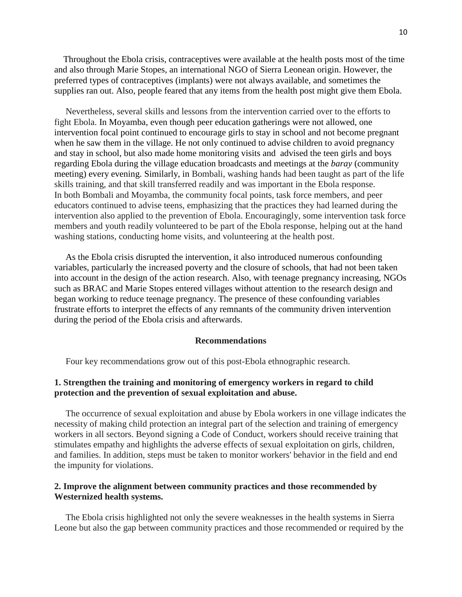Throughout the Ebola crisis, contraceptives were available at the health posts most of the time and also through Marie Stopes, an international NGO of Sierra Leonean origin. However, the preferred types of contraceptives (implants) were not always available, and sometimes the supplies ran out. Also, people feared that any items from the health post might give them Ebola.

 Nevertheless, several skills and lessons from the intervention carried over to the efforts to fight Ebola. In Moyamba, even though peer education gatherings were not allowed, one intervention focal point continued to encourage girls to stay in school and not become pregnant when he saw them in the village. He not only continued to advise children to avoid pregnancy and stay in school, but also made home monitoring visits and advised the teen girls and boys regarding Ebola during the village education broadcasts and meetings at the *baray* (community meeting) every evening. Similarly, in Bombali, washing hands had been taught as part of the life skills training, and that skill transferred readily and was important in the Ebola response. In both Bombali and Moyamba, the community focal points, task force members, and peer educators continued to advise teens, emphasizing that the practices they had learned during the intervention also applied to the prevention of Ebola. Encouragingly, some intervention task force members and youth readily volunteered to be part of the Ebola response, helping out at the hand washing stations, conducting home visits, and volunteering at the health post.

 As the Ebola crisis disrupted the intervention, it also introduced numerous confounding variables, particularly the increased poverty and the closure of schools, that had not been taken into account in the design of the action research. Also, with teenage pregnancy increasing, NGOs such as BRAC and Marie Stopes entered villages without attention to the research design and began working to reduce teenage pregnancy. The presence of these confounding variables frustrate efforts to interpret the effects of any remnants of the community driven intervention during the period of the Ebola crisis and afterwards.

#### **Recommendations**

Four key recommendations grow out of this post-Ebola ethnographic research.

# **1. Strengthen the training and monitoring of emergency workers in regard to child protection and the prevention of sexual exploitation and abuse.**

 The occurrence of sexual exploitation and abuse by Ebola workers in one village indicates the necessity of making child protection an integral part of the selection and training of emergency workers in all sectors. Beyond signing a Code of Conduct, workers should receive training that stimulates empathy and highlights the adverse effects of sexual exploitation on girls, children, and families. In addition, steps must be taken to monitor workers' behavior in the field and end the impunity for violations.

### **2. Improve the alignment between community practices and those recommended by Westernized health systems.**

 The Ebola crisis highlighted not only the severe weaknesses in the health systems in Sierra Leone but also the gap between community practices and those recommended or required by the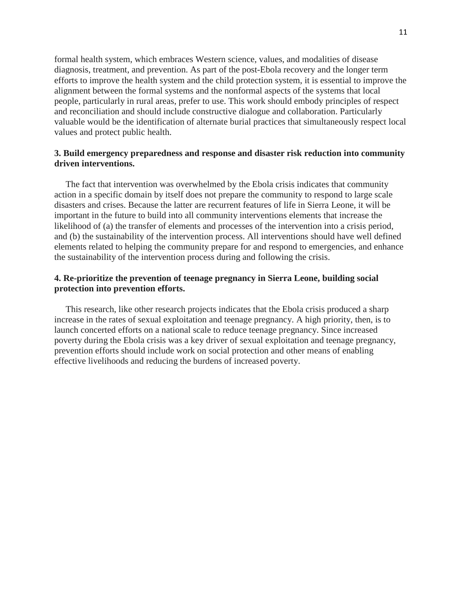formal health system, which embraces Western science, values, and modalities of disease diagnosis, treatment, and prevention. As part of the post-Ebola recovery and the longer term efforts to improve the health system and the child protection system, it is essential to improve the alignment between the formal systems and the nonformal aspects of the systems that local people, particularly in rural areas, prefer to use. This work should embody principles of respect and reconciliation and should include constructive dialogue and collaboration. Particularly valuable would be the identification of alternate burial practices that simultaneously respect local values and protect public health.

# **3. Build emergency preparedness and response and disaster risk reduction into community driven interventions.**

 The fact that intervention was overwhelmed by the Ebola crisis indicates that community action in a specific domain by itself does not prepare the community to respond to large scale disasters and crises. Because the latter are recurrent features of life in Sierra Leone, it will be important in the future to build into all community interventions elements that increase the likelihood of (a) the transfer of elements and processes of the intervention into a crisis period, and (b) the sustainability of the intervention process. All interventions should have well defined elements related to helping the community prepare for and respond to emergencies, and enhance the sustainability of the intervention process during and following the crisis.

# **4. Re-prioritize the prevention of teenage pregnancy in Sierra Leone, building social protection into prevention efforts.**

 This research, like other research projects indicates that the Ebola crisis produced a sharp increase in the rates of sexual exploitation and teenage pregnancy. A high priority, then, is to launch concerted efforts on a national scale to reduce teenage pregnancy. Since increased poverty during the Ebola crisis was a key driver of sexual exploitation and teenage pregnancy, prevention efforts should include work on social protection and other means of enabling effective livelihoods and reducing the burdens of increased poverty.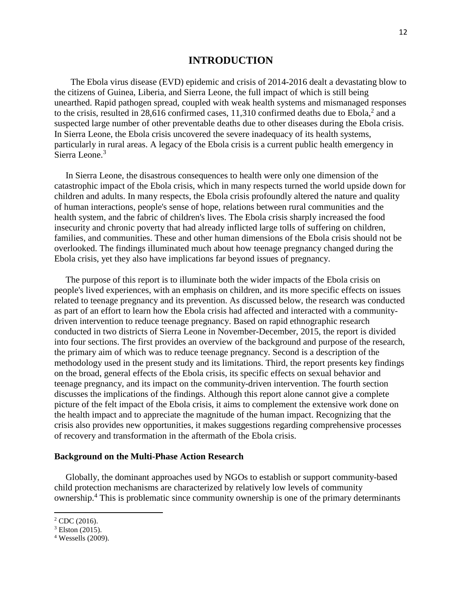# **INTRODUCTION**

The Ebola virus disease (EVD) epidemic and crisis of 2014-2016 dealt a devastating blow to the citizens of Guinea, Liberia, and Sierra Leone, the full impact of which is still being unearthed. Rapid pathogen spread, coupled with weak health systems and mismanaged responses to the crisis, resulted in 28,616 confirmed cases, 11,310 confirmed deaths due to Ebola, <sup>2</sup> and a suspected large number of other preventable deaths due to other diseases during the Ebola crisis. In Sierra Leone, the Ebola crisis uncovered the severe inadequacy of its health systems, particularly in rural areas. A legacy of the Ebola crisis is a current public health emergency in Sierra Leone. 3

 In Sierra Leone, the disastrous consequences to health were only one dimension of the catastrophic impact of the Ebola crisis, which in many respects turned the world upside down for children and adults. In many respects, the Ebola crisis profoundly altered the nature and quality of human interactions, people's sense of hope, relations between rural communities and the health system, and the fabric of children's lives. The Ebola crisis sharply increased the food insecurity and chronic poverty that had already inflicted large tolls of suffering on children, families, and communities. These and other human dimensions of the Ebola crisis should not be overlooked. The findings illuminated much about how teenage pregnancy changed during the Ebola crisis, yet they also have implications far beyond issues of pregnancy.

 The purpose of this report is to illuminate both the wider impacts of the Ebola crisis on people's lived experiences, with an emphasis on children, and its more specific effects on issues related to teenage pregnancy and its prevention. As discussed below, the research was conducted as part of an effort to learn how the Ebola crisis had affected and interacted with a communitydriven intervention to reduce teenage pregnancy. Based on rapid ethnographic research conducted in two districts of Sierra Leone in November-December, 2015, the report is divided into four sections. The first provides an overview of the background and purpose of the research, the primary aim of which was to reduce teenage pregnancy. Second is a description of the methodology used in the present study and its limitations. Third, the report presents key findings on the broad, general effects of the Ebola crisis, its specific effects on sexual behavior and teenage pregnancy, and its impact on the community-driven intervention. The fourth section discusses the implications of the findings. Although this report alone cannot give a complete picture of the felt impact of the Ebola crisis, it aims to complement the extensive work done on the health impact and to appreciate the magnitude of the human impact. Recognizing that the crisis also provides new opportunities, it makes suggestions regarding comprehensive processes of recovery and transformation in the aftermath of the Ebola crisis.

#### **Background on the Multi-Phase Action Research**

 Globally, the dominant approaches used by NGOs to establish or support community-based child protection mechanisms are characterized by relatively low levels of community ownership.<sup>4</sup> This is problematic since community ownership is one of the primary determinants

 $\overline{\phantom{a}}$ 

 $2$  CDC (2016).

 $3$  Elston (2015).

<sup>4</sup> Wessells (2009).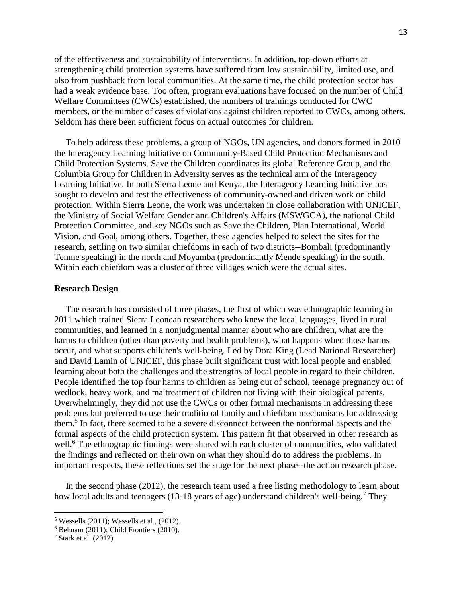of the effectiveness and sustainability of interventions. In addition, top-down efforts at strengthening child protection systems have suffered from low sustainability, limited use, and also from pushback from local communities. At the same time, the child protection sector has had a weak evidence base. Too often, program evaluations have focused on the number of Child Welfare Committees (CWCs) established, the numbers of trainings conducted for CWC members, or the number of cases of violations against children reported to CWCs, among others. Seldom has there been sufficient focus on actual outcomes for children.

 To help address these problems, a group of NGOs, UN agencies, and donors formed in 2010 the Interagency Learning Initiative on Community-Based Child Protection Mechanisms and Child Protection Systems. Save the Children coordinates its global Reference Group, and the Columbia Group for Children in Adversity serves as the technical arm of the Interagency Learning Initiative. In both Sierra Leone and Kenya, the Interagency Learning Initiative has sought to develop and test the effectiveness of community-owned and driven work on child protection. Within Sierra Leone, the work was undertaken in close collaboration with UNICEF, the Ministry of Social Welfare Gender and Children's Affairs (MSWGCA), the national Child Protection Committee, and key NGOs such as Save the Children, Plan International, World Vision, and Goal, among others. Together, these agencies helped to select the sites for the research, settling on two similar chiefdoms in each of two districts--Bombali (predominantly Temne speaking) in the north and Moyamba (predominantly Mende speaking) in the south. Within each chiefdom was a cluster of three villages which were the actual sites.

#### **Research Design**

 The research has consisted of three phases, the first of which was ethnographic learning in 2011 which trained Sierra Leonean researchers who knew the local languages, lived in rural communities, and learned in a nonjudgmental manner about who are children, what are the harms to children (other than poverty and health problems), what happens when those harms occur, and what supports children's well-being. Led by Dora King (Lead National Researcher) and David Lamin of UNICEF, this phase built significant trust with local people and enabled learning about both the challenges and the strengths of local people in regard to their children. People identified the top four harms to children as being out of school, teenage pregnancy out of wedlock, heavy work, and maltreatment of children not living with their biological parents. Overwhelmingly, they did not use the CWCs or other formal mechanisms in addressing these problems but preferred to use their traditional family and chiefdom mechanisms for addressing them.<sup>5</sup> In fact, there seemed to be a severe disconnect between the nonformal aspects and the formal aspects of the child protection system. This pattern fit that observed in other research as well.<sup>6</sup> The ethnographic findings were shared with each cluster of communities, who validated the findings and reflected on their own on what they should do to address the problems. In important respects, these reflections set the stage for the next phase--the action research phase.

 In the second phase (2012), the research team used a free listing methodology to learn about how local adults and teenagers (13-18 years of age) understand children's well-being.<sup>7</sup> They

 $\overline{\phantom{a}}$ 

<sup>5</sup> Wessells (2011); Wessells et al., (2012).

 $6$  Behnam (2011); Child Frontiers (2010).

<sup>7</sup> Stark et al. (2012).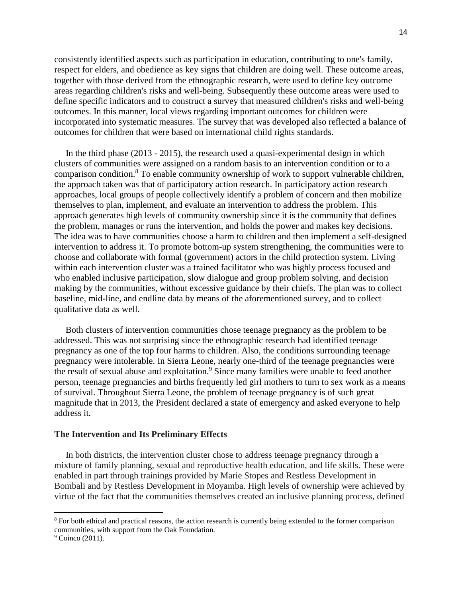consistently identified aspects such as participation in education, contributing to one's family, respect for elders, and obedience as key signs that children are doing well. These outcome areas, together with those derived from the ethnographic research, were used to define key outcome areas regarding children's risks and well-being. Subsequently these outcome areas were used to define specific indicators and to construct a survey that measured children's risks and well-being outcomes. In this manner, local views regarding important outcomes for children were incorporated into systematic measures. The survey that was developed also reflected a balance of outcomes for children that were based on international child rights standards.

 In the third phase (2013 - 2015), the research used a quasi-experimental design in which clusters of communities were assigned on a random basis to an intervention condition or to a comparison condition.8 To enable community ownership of work to support vulnerable children, the approach taken was that of participatory action research. In participatory action research approaches, local groups of people collectively identify a problem of concern and then mobilize themselves to plan, implement, and evaluate an intervention to address the problem. This approach generates high levels of community ownership since it is the community that defines the problem, manages or runs the intervention, and holds the power and makes key decisions. The idea was to have communities choose a harm to children and then implement a self-designed intervention to address it. To promote bottom-up system strengthening, the communities were to choose and collaborate with formal (government) actors in the child protection system. Living within each intervention cluster was a trained facilitator who was highly process focused and who enabled inclusive participation, slow dialogue and group problem solving, and decision making by the communities, without excessive guidance by their chiefs. The plan was to collect baseline, mid-line, and endline data by means of the aforementioned survey, and to collect qualitative data as well.

 Both clusters of intervention communities chose teenage pregnancy as the problem to be addressed. This was not surprising since the ethnographic research had identified teenage pregnancy as one of the top four harms to children. Also, the conditions surrounding teenage pregnancy were intolerable. In Sierra Leone, nearly one-third of the teenage pregnancies were the result of sexual abuse and exploitation.<sup>9</sup> Since many families were unable to feed another person, teenage pregnancies and births frequently led girl mothers to turn to sex work as a means of survival. Throughout Sierra Leone, the problem of teenage pregnancy is of such great magnitude that in 2013, the President declared a state of emergency and asked everyone to help address it.

#### **The Intervention and Its Preliminary Effects**

 In both districts, the intervention cluster chose to address teenage pregnancy through a mixture of family planning, sexual and reproductive health education, and life skills. These were enabled in part through trainings provided by Marie Stopes and Restless Development in Bombali and by Restless Development in Moyamba. High levels of ownership were achieved by virtue of the fact that the communities themselves created an inclusive planning process, defined

 $\overline{\phantom{a}}$ 

<sup>&</sup>lt;sup>8</sup> For both ethical and practical reasons, the action research is currently being extended to the former comparison communities, with support from the Oak Foundation.

 $9$  Coinco (2011).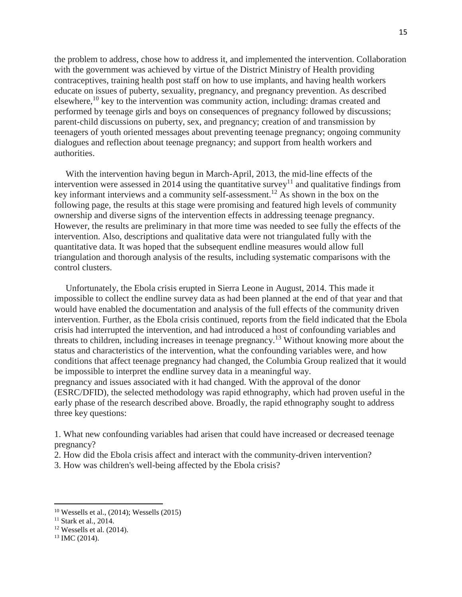the problem to address, chose how to address it, and implemented the intervention. Collaboration with the government was achieved by virtue of the District Ministry of Health providing contraceptives, training health post staff on how to use implants, and having health workers educate on issues of puberty, sexuality, pregnancy, and pregnancy prevention. As described elsewhere,<sup>10</sup> key to the intervention was community action, including: dramas created and performed by teenage girls and boys on consequences of pregnancy followed by discussions; parent-child discussions on puberty, sex, and pregnancy; creation of and transmission by teenagers of youth oriented messages about preventing teenage pregnancy; ongoing community dialogues and reflection about teenage pregnancy; and support from health workers and authorities.

 With the intervention having begun in March-April, 2013, the mid-line effects of the intervention were assessed in 2014 using the quantitative survey<sup>11</sup> and qualitative findings from key informant interviews and a community self-assessment.12 As shown in the box on the following page, the results at this stage were promising and featured high levels of community ownership and diverse signs of the intervention effects in addressing teenage pregnancy. However, the results are preliminary in that more time was needed to see fully the effects of the intervention. Also, descriptions and qualitative data were not triangulated fully with the quantitative data. It was hoped that the subsequent endline measures would allow full triangulation and thorough analysis of the results, including systematic comparisons with the control clusters.

 Unfortunately, the Ebola crisis erupted in Sierra Leone in August, 2014. This made it impossible to collect the endline survey data as had been planned at the end of that year and that would have enabled the documentation and analysis of the full effects of the community driven intervention. Further, as the Ebola crisis continued, reports from the field indicated that the Ebola crisis had interrupted the intervention, and had introduced a host of confounding variables and threats to children, including increases in teenage pregnancy.<sup>13</sup> Without knowing more about the status and characteristics of the intervention, what the confounding variables were, and how conditions that affect teenage pregnancy had changed, the Columbia Group realized that it would be impossible to interpret the endline survey data in a meaningful way. pregnancy and issues associated with it had changed. With the approval of the donor (ESRC/DFID), the selected methodology was rapid ethnography, which had proven useful in the

early phase of the research described above. Broadly, the rapid ethnography sought to address three key questions:

1. What new confounding variables had arisen that could have increased or decreased teenage pregnancy?

2. How did the Ebola crisis affect and interact with the community-driven intervention?

3. How was children's well-being affected by the Ebola crisis?

 $\overline{a}$ 

<sup>10</sup> Wessells et al., (2014); Wessells (2015)

<sup>11</sup> Stark et al., 2014.

 $12$  Wessells et al. (2014).

<sup>13</sup> IMC (2014).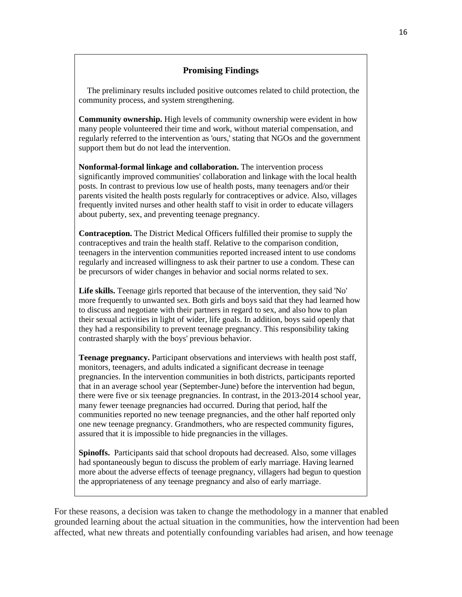# **Promising Findings**

 The preliminary results included positive outcomes related to child protection, the community process, and system strengthening.

**Community ownership.** High levels of community ownership were evident in how many people volunteered their time and work, without material compensation, and regularly referred to the intervention as 'ours,' stating that NGOs and the government support them but do not lead the intervention.

**Nonformal-formal linkage and collaboration.** The intervention process significantly improved communities' collaboration and linkage with the local health posts. In contrast to previous low use of health posts, many teenagers and/or their parents visited the health posts regularly for contraceptives or advice. Also, villages frequently invited nurses and other health staff to visit in order to educate villagers about puberty, sex, and preventing teenage pregnancy.

**Contraception.** The District Medical Officers fulfilled their promise to supply the contraceptives and train the health staff. Relative to the comparison condition, teenagers in the intervention communities reported increased intent to use condoms regularly and increased willingness to ask their partner to use a condom. These can be precursors of wider changes in behavior and social norms related to sex.

**Life skills.** Teenage girls reported that because of the intervention, they said 'No' more frequently to unwanted sex. Both girls and boys said that they had learned how to discuss and negotiate with their partners in regard to sex, and also how to plan their sexual activities in light of wider, life goals. In addition, boys said openly that they had a responsibility to prevent teenage pregnancy. This responsibility taking contrasted sharply with the boys' previous behavior.

**Teenage pregnancy.** Participant observations and interviews with health post staff, monitors, teenagers, and adults indicated a significant decrease in teenage pregnancies. In the intervention communities in both districts, participants reported that in an average school year (September-June) before the intervention had begun, there were five or six teenage pregnancies. In contrast, in the 2013-2014 school year, many fewer teenage pregnancies had occurred. During that period, half the communities reported no new teenage pregnancies, and the other half reported only one new teenage pregnancy. Grandmothers, who are respected community figures, assured that it is impossible to hide pregnancies in the villages.

**Spinoffs.** Participants said that school dropouts had decreased. Also, some villages had spontaneously begun to discuss the problem of early marriage. Having learned more about the adverse effects of teenage pregnancy, villagers had begun to question the appropriateness of any teenage pregnancy and also of early marriage.

For these reasons, a decision was taken to change the methodology in a manner that enabled grounded learning about the actual situation in the communities, how the intervention had been affected, what new threats and potentially confounding variables had arisen, and how teenage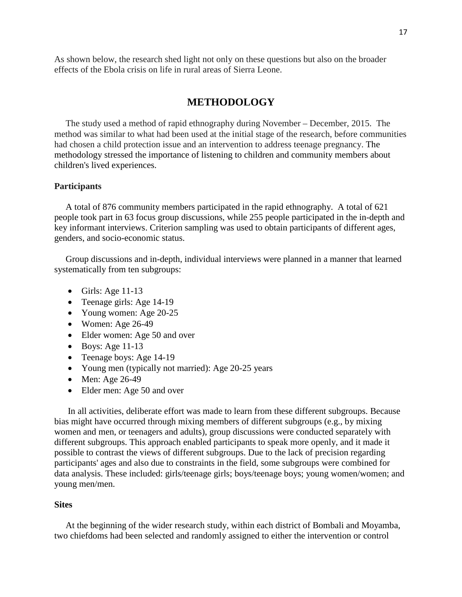As shown below, the research shed light not only on these questions but also on the broader effects of the Ebola crisis on life in rural areas of Sierra Leone.

# **METHODOLOGY**

 The study used a method of rapid ethnography during November – December, 2015. The method was similar to what had been used at the initial stage of the research, before communities had chosen a child protection issue and an intervention to address teenage pregnancy. The methodology stressed the importance of listening to children and community members about children's lived experiences.

### **Participants**

 A total of 876 community members participated in the rapid ethnography. A total of 621 people took part in 63 focus group discussions, while 255 people participated in the in-depth and key informant interviews. Criterion sampling was used to obtain participants of different ages, genders, and socio-economic status.

 Group discussions and in-depth, individual interviews were planned in a manner that learned systematically from ten subgroups:

- Girls: Age  $11-13$
- Teenage girls: Age 14-19
- Young women: Age 20-25
- Women: Age  $26-49$
- Elder women: Age 50 and over
- $\bullet$  Boys: Age 11-13
- Teenage boys: Age 14-19
- Young men (typically not married): Age 20-25 years
- Men: Age 26-49
- Elder men: Age 50 and over

In all activities, deliberate effort was made to learn from these different subgroups. Because bias might have occurred through mixing members of different subgroups (e.g., by mixing women and men, or teenagers and adults), group discussions were conducted separately with different subgroups. This approach enabled participants to speak more openly, and it made it possible to contrast the views of different subgroups. Due to the lack of precision regarding participants' ages and also due to constraints in the field, some subgroups were combined for data analysis. These included: girls/teenage girls; boys/teenage boys; young women/women; and young men/men.

#### **Sites**

 At the beginning of the wider research study, within each district of Bombali and Moyamba, two chiefdoms had been selected and randomly assigned to either the intervention or control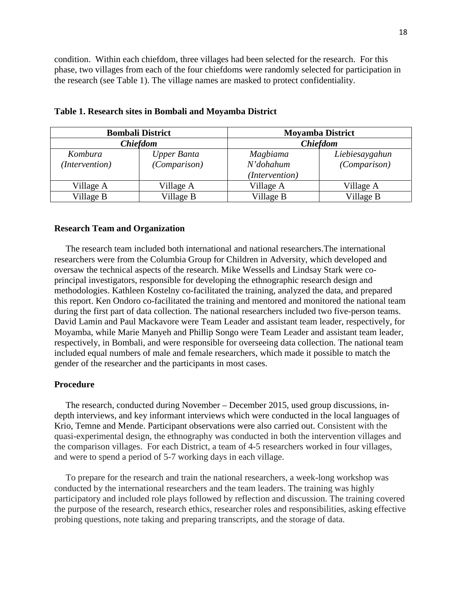condition. Within each chiefdom, three villages had been selected for the research. For this phase, two villages from each of the four chiefdoms were randomly selected for participation in the research (see Table 1). The village names are masked to protect confidentiality.

|                 | <b>Bombali District</b> | <b>Moyamba District</b> |                |  |  |
|-----------------|-------------------------|-------------------------|----------------|--|--|
| <b>Chiefdom</b> |                         | <b>Chiefdom</b>         |                |  |  |
| Kombura         | <b>Upper Banta</b>      | Magbiama                | Liebiesaygahun |  |  |
| (Intervention)  | (Comparison)            | N'dohahum               | (Comparison)   |  |  |
|                 |                         | (Intervention)          |                |  |  |
| Village A       | Village A               | Village A               | Village A      |  |  |
| Village B       | Village B               | Village B               | Village B      |  |  |

|  |  | Table 1. Research sites in Bombali and Moyamba District |  |  |  |  |  |  |  |
|--|--|---------------------------------------------------------|--|--|--|--|--|--|--|
|--|--|---------------------------------------------------------|--|--|--|--|--|--|--|

#### **Research Team and Organization**

 The research team included both international and national researchers.The international researchers were from the Columbia Group for Children in Adversity, which developed and oversaw the technical aspects of the research. Mike Wessells and Lindsay Stark were coprincipal investigators, responsible for developing the ethnographic research design and methodologies. Kathleen Kostelny co-facilitated the training, analyzed the data, and prepared this report. Ken Ondoro co-facilitated the training and mentored and monitored the national team during the first part of data collection. The national researchers included two five-person teams. David Lamin and Paul Mackavore were Team Leader and assistant team leader, respectively, for Moyamba, while Marie Manyeh and Phillip Songo were Team Leader and assistant team leader, respectively, in Bombali, and were responsible for overseeing data collection. The national team included equal numbers of male and female researchers, which made it possible to match the gender of the researcher and the participants in most cases.

#### **Procedure**

 The research, conducted during November – December 2015, used group discussions, indepth interviews, and key informant interviews which were conducted in the local languages of Krio, Temne and Mende. Participant observations were also carried out. Consistent with the quasi-experimental design, the ethnography was conducted in both the intervention villages and the comparison villages. For each District, a team of 4-5 researchers worked in four villages, and were to spend a period of 5-7 working days in each village.

 To prepare for the research and train the national researchers, a week-long workshop was conducted by the international researchers and the team leaders. The training was highly participatory and included role plays followed by reflection and discussion. The training covered the purpose of the research, research ethics, researcher roles and responsibilities, asking effective probing questions, note taking and preparing transcripts, and the storage of data.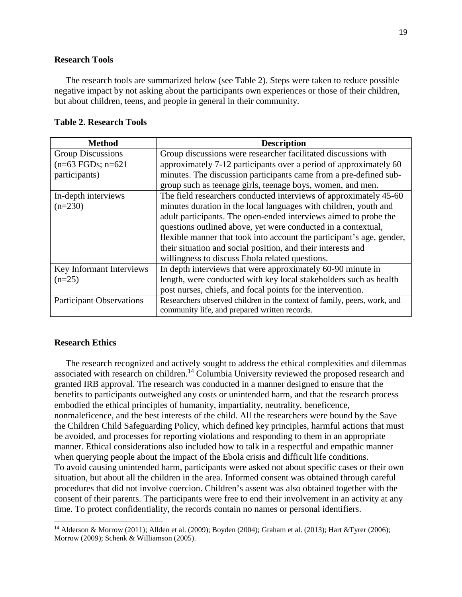### **Research Tools**

 The research tools are summarized below (see Table 2). Steps were taken to reduce possible negative impact by not asking about the participants own experiences or those of their children, but about children, teens, and people in general in their community.

#### **Table 2. Research Tools**

| <b>Method</b>                   | <b>Description</b>                                                       |
|---------------------------------|--------------------------------------------------------------------------|
| <b>Group Discussions</b>        | Group discussions were researcher facilitated discussions with           |
| $(n=63 \text{ FGDs}; n=621$     | approximately 7-12 participants over a period of approximately 60        |
| participants)                   | minutes. The discussion participants came from a pre-defined sub-        |
|                                 | group such as teenage girls, teenage boys, women, and men.               |
| In-depth interviews             | The field researchers conducted interviews of approximately 45-60        |
| $(n=230)$                       | minutes duration in the local languages with children, youth and         |
|                                 | adult participants. The open-ended interviews aimed to probe the         |
|                                 | questions outlined above, yet were conducted in a contextual,            |
|                                 | flexible manner that took into account the participant's age, gender,    |
|                                 | their situation and social position, and their interests and             |
|                                 | willingness to discuss Ebola related questions.                          |
| Key Informant Interviews        | In depth interviews that were approximately 60-90 minute in              |
| $(n=25)$                        | length, were conducted with key local stakeholders such as health        |
|                                 | post nurses, chiefs, and focal points for the intervention.              |
| <b>Participant Observations</b> | Researchers observed children in the context of family, peers, work, and |
|                                 | community life, and prepared written records.                            |

#### **Research Ethics**

l

 The research recognized and actively sought to address the ethical complexities and dilemmas associated with research on children.<sup>14</sup> Columbia University reviewed the proposed research and granted IRB approval. The research was conducted in a manner designed to ensure that the benefits to participants outweighed any costs or unintended harm, and that the research process embodied the ethical principles of humanity, impartiality, neutrality, beneficence, nonmaleficence, and the best interests of the child. All the researchers were bound by the Save the Children Child Safeguarding Policy, which defined key principles, harmful actions that must be avoided, and processes for reporting violations and responding to them in an appropriate manner. Ethical considerations also included how to talk in a respectful and empathic manner when querying people about the impact of the Ebola crisis and difficult life conditions. To avoid causing unintended harm, participants were asked not about specific cases or their own situation, but about all the children in the area. Informed consent was obtained through careful procedures that did not involve coercion. Children's assent was also obtained together with the consent of their parents. The participants were free to end their involvement in an activity at any time. To protect confidentiality, the records contain no names or personal identifiers.

<sup>&</sup>lt;sup>14</sup> Alderson & Morrow (2011); Allden et al. (2009); Boyden (2004); Graham et al. (2013); Hart &Tyrer (2006); Morrow (2009); Schenk & Williamson (2005).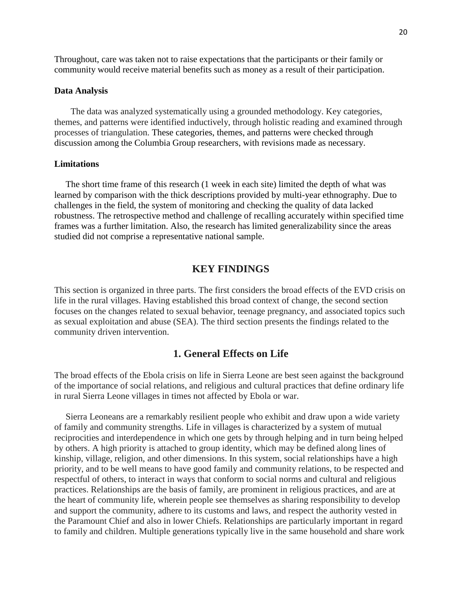Throughout, care was taken not to raise expectations that the participants or their family or community would receive material benefits such as money as a result of their participation.

### **Data Analysis**

The data was analyzed systematically using a grounded methodology. Key categories, themes, and patterns were identified inductively, through holistic reading and examined through processes of triangulation. These categories, themes, and patterns were checked through discussion among the Columbia Group researchers, with revisions made as necessary.

#### **Limitations**

 The short time frame of this research (1 week in each site) limited the depth of what was learned by comparison with the thick descriptions provided by multi-year ethnography. Due to challenges in the field, the system of monitoring and checking the quality of data lacked robustness. The retrospective method and challenge of recalling accurately within specified time frames was a further limitation. Also, the research has limited generalizability since the areas studied did not comprise a representative national sample.

# **KEY FINDINGS**

This section is organized in three parts. The first considers the broad effects of the EVD crisis on life in the rural villages. Having established this broad context of change, the second section focuses on the changes related to sexual behavior, teenage pregnancy, and associated topics such as sexual exploitation and abuse (SEA). The third section presents the findings related to the community driven intervention.

# **1. General Effects on Life**

The broad effects of the Ebola crisis on life in Sierra Leone are best seen against the background of the importance of social relations, and religious and cultural practices that define ordinary life in rural Sierra Leone villages in times not affected by Ebola or war.

 Sierra Leoneans are a remarkably resilient people who exhibit and draw upon a wide variety of family and community strengths. Life in villages is characterized by a system of mutual reciprocities and interdependence in which one gets by through helping and in turn being helped by others. A high priority is attached to group identity, which may be defined along lines of kinship, village, religion, and other dimensions. In this system, social relationships have a high priority, and to be well means to have good family and community relations, to be respected and respectful of others, to interact in ways that conform to social norms and cultural and religious practices. Relationships are the basis of family, are prominent in religious practices, and are at the heart of community life, wherein people see themselves as sharing responsibility to develop and support the community, adhere to its customs and laws, and respect the authority vested in the Paramount Chief and also in lower Chiefs. Relationships are particularly important in regard to family and children. Multiple generations typically live in the same household and share work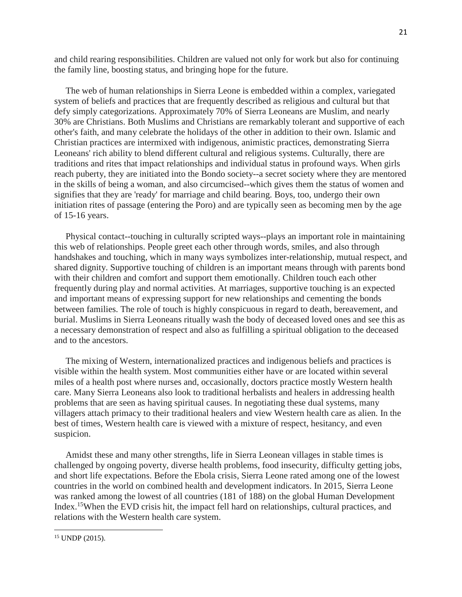and child rearing responsibilities. Children are valued not only for work but also for continuing the family line, boosting status, and bringing hope for the future.

 The web of human relationships in Sierra Leone is embedded within a complex, variegated system of beliefs and practices that are frequently described as religious and cultural but that defy simply categorizations. Approximately 70% of Sierra Leoneans are Muslim, and nearly 30% are Christians. Both Muslims and Christians are remarkably tolerant and supportive of each other's faith, and many celebrate the holidays of the other in addition to their own. Islamic and Christian practices are intermixed with indigenous, animistic practices, demonstrating Sierra Leoneans' rich ability to blend different cultural and religious systems. Culturally, there are traditions and rites that impact relationships and individual status in profound ways. When girls reach puberty, they are initiated into the Bondo society--a secret society where they are mentored in the skills of being a woman, and also circumcised--which gives them the status of women and signifies that they are 'ready' for marriage and child bearing. Boys, too, undergo their own initiation rites of passage (entering the Poro) and are typically seen as becoming men by the age of 15-16 years.

 Physical contact--touching in culturally scripted ways--plays an important role in maintaining this web of relationships. People greet each other through words, smiles, and also through handshakes and touching, which in many ways symbolizes inter-relationship, mutual respect, and shared dignity. Supportive touching of children is an important means through with parents bond with their children and comfort and support them emotionally. Children touch each other frequently during play and normal activities. At marriages, supportive touching is an expected and important means of expressing support for new relationships and cementing the bonds between families. The role of touch is highly conspicuous in regard to death, bereavement, and burial. Muslims in Sierra Leoneans ritually wash the body of deceased loved ones and see this as a necessary demonstration of respect and also as fulfilling a spiritual obligation to the deceased and to the ancestors.

 The mixing of Western, internationalized practices and indigenous beliefs and practices is visible within the health system. Most communities either have or are located within several miles of a health post where nurses and, occasionally, doctors practice mostly Western health care. Many Sierra Leoneans also look to traditional herbalists and healers in addressing health problems that are seen as having spiritual causes. In negotiating these dual systems, many villagers attach primacy to their traditional healers and view Western health care as alien. In the best of times, Western health care is viewed with a mixture of respect, hesitancy, and even suspicion.

 Amidst these and many other strengths, life in Sierra Leonean villages in stable times is challenged by ongoing poverty, diverse health problems, food insecurity, difficulty getting jobs, and short life expectations. Before the Ebola crisis, Sierra Leone rated among one of the lowest countries in the world on combined health and development indicators. In 2015, Sierra Leone was ranked among the lowest of all countries (181 of 188) on the global Human Development Index.<sup>15</sup>When the EVD crisis hit, the impact fell hard on relationships, cultural practices, and relations with the Western health care system.

 $\overline{a}$ 

<sup>15</sup> UNDP (2015).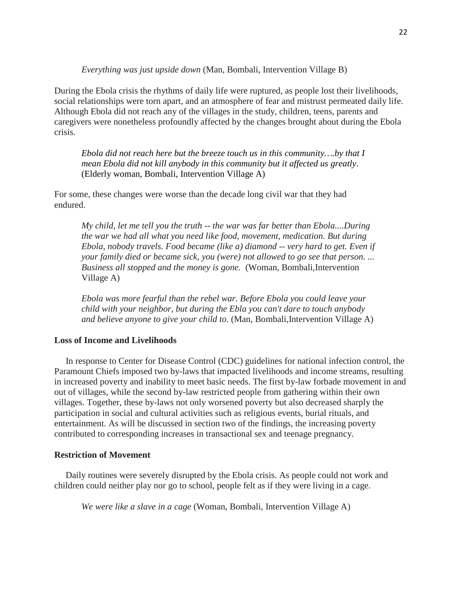*Everything was just upside down* (Man, Bombali, Intervention Village B)

During the Ebola crisis the rhythms of daily life were ruptured, as people lost their livelihoods, social relationships were torn apart, and an atmosphere of fear and mistrust permeated daily life. Although Ebola did not reach any of the villages in the study, children, teens, parents and caregivers were nonetheless profoundly affected by the changes brought about during the Ebola crisis.

*Ebola did not reach here but the breeze touch us in this community….by that I mean Ebola did not kill anybody in this community but it affected us greatly*. (Elderly woman, Bombali, Intervention Village A)

For some, these changes were worse than the decade long civil war that they had endured.

*My child, let me tell you the truth -- the war was far better than Ebola....During the war we had all what you need like food, movement, medication. But during Ebola, nobody travels. Food became (like a) diamond -- very hard to get. Even if your family died or became sick, you (were) not allowed to go see that person. ... Business all stopped and the money is gone.* (Woman, Bombali,Intervention Village A)

*Ebola was more fearful than the rebel war. Before Ebola you could leave your child with your neighbor, but during the Ebla you can't dare to touch anybody and believe anyone to give your child to*. (Man, Bombali,Intervention Village A)

## **Loss of Income and Livelihoods**

 In response to Center for Disease Control (CDC) guidelines for national infection control, the Paramount Chiefs imposed two by-laws that impacted livelihoods and income streams, resulting in increased poverty and inability to meet basic needs. The first by-law forbade movement in and out of villages, while the second by-law restricted people from gathering within their own villages. Together, these by-laws not only worsened poverty but also decreased sharply the participation in social and cultural activities such as religious events, burial rituals, and entertainment. As will be discussed in section two of the findings, the increasing poverty contributed to corresponding increases in transactional sex and teenage pregnancy.

#### **Restriction of Movement**

 Daily routines were severely disrupted by the Ebola crisis. As people could not work and children could neither play nor go to school, people felt as if they were living in a cage.

*We were like a slave in a cage* (Woman, Bombali, Intervention Village A)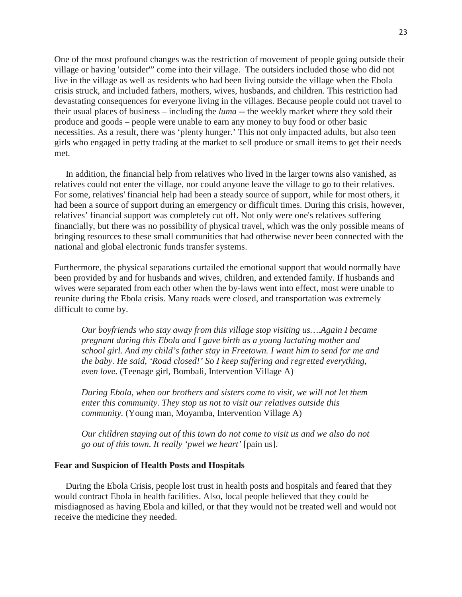One of the most profound changes was the restriction of movement of people going outside their village or having 'outsider'" come into their village. The outsiders included those who did not live in the village as well as residents who had been living outside the village when the Ebola crisis struck, and included fathers, mothers, wives, husbands, and children. This restriction had devastating consequences for everyone living in the villages. Because people could not travel to their usual places of business – including the *luma* -- the weekly market where they sold their produce and goods – people were unable to earn any money to buy food or other basic necessities. As a result, there was 'plenty hunger.' This not only impacted adults, but also teen girls who engaged in petty trading at the market to sell produce or small items to get their needs met.

 In addition, the financial help from relatives who lived in the larger towns also vanished, as relatives could not enter the village, nor could anyone leave the village to go to their relatives. For some, relatives' financial help had been a steady source of support, while for most others, it had been a source of support during an emergency or difficult times. During this crisis, however, relatives' financial support was completely cut off. Not only were one's relatives suffering financially, but there was no possibility of physical travel, which was the only possible means of bringing resources to these small communities that had otherwise never been connected with the national and global electronic funds transfer systems.

Furthermore, the physical separations curtailed the emotional support that would normally have been provided by and for husbands and wives, children, and extended family. If husbands and wives were separated from each other when the by-laws went into effect, most were unable to reunite during the Ebola crisis. Many roads were closed, and transportation was extremely difficult to come by.

*Our boyfriends who stay away from this village stop visiting us….Again I became pregnant during this Ebola and I gave birth as a young lactating mother and school girl. And my child's father stay in Freetown. I want him to send for me and the baby. He said, 'Road closed!' So I keep suffering and regretted everything, even love.* (Teenage girl, Bombali, Intervention Village A)

*During Ebola, when our brothers and sisters come to visit, we will not let them enter this community. They stop us not to visit our relatives outside this community.* (Young man, Moyamba, Intervention Village A)

*Our children staying out of this town do not come to visit us and we also do not go out of this town. It really 'pwel we heart'* [pain us].

#### **Fear and Suspicion of Health Posts and Hospitals**

 During the Ebola Crisis, people lost trust in health posts and hospitals and feared that they would contract Ebola in health facilities. Also, local people believed that they could be misdiagnosed as having Ebola and killed, or that they would not be treated well and would not receive the medicine they needed.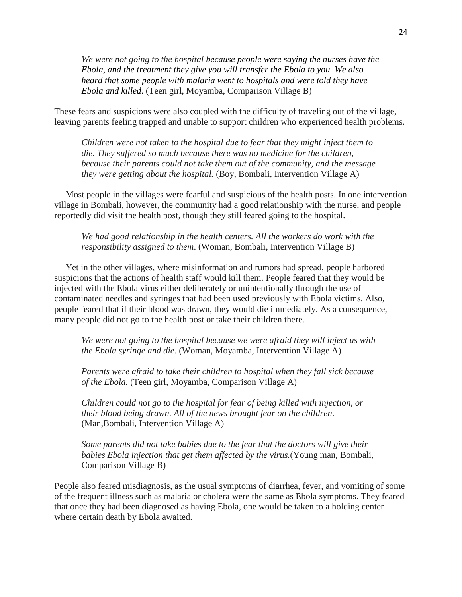*We were not going to the hospital because people were saying the nurses have the Ebola, and the treatment they give you will transfer the Ebola to you. We also heard that some people with malaria went to hospitals and were told they have Ebola and killed*. (Teen girl, Moyamba, Comparison Village B)

These fears and suspicions were also coupled with the difficulty of traveling out of the village, leaving parents feeling trapped and unable to support children who experienced health problems.

*Children were not taken to the hospital due to fear that they might inject them to die. They suffered so much because there was no medicine for the children, because their parents could not take them out of the community, and the message they were getting about the hospital.* (Boy, Bombali, Intervention Village A)

 Most people in the villages were fearful and suspicious of the health posts. In one intervention village in Bombali, however, the community had a good relationship with the nurse, and people reportedly did visit the health post, though they still feared going to the hospital.

*We had good relationship in the health centers. All the workers do work with the responsibility assigned to them*. (Woman, Bombali, Intervention Village B)

 Yet in the other villages, where misinformation and rumors had spread, people harbored suspicions that the actions of health staff would kill them. People feared that they would be injected with the Ebola virus either deliberately or unintentionally through the use of contaminated needles and syringes that had been used previously with Ebola victims. Also, people feared that if their blood was drawn, they would die immediately. As a consequence, many people did not go to the health post or take their children there.

*We were not going to the hospital because we were afraid they will inject us with the Ebola syringe and die.* (Woman, Moyamba, Intervention Village A)

*Parents were afraid to take their children to hospital when they fall sick because of the Ebola.* (Teen girl, Moyamba, Comparison Village A)

*Children could not go to the hospital for fear of being killed with injection, or their blood being drawn. All of the news brought fear on the children*. (Man,Bombali, Intervention Village A)

*Some parents did not take babies due to the fear that the doctors will give their babies Ebola injection that get them affected by the virus.*(Young man, Bombali, Comparison Village B)

People also feared misdiagnosis, as the usual symptoms of diarrhea, fever, and vomiting of some of the frequent illness such as malaria or cholera were the same as Ebola symptoms. They feared that once they had been diagnosed as having Ebola, one would be taken to a holding center where certain death by Ebola awaited.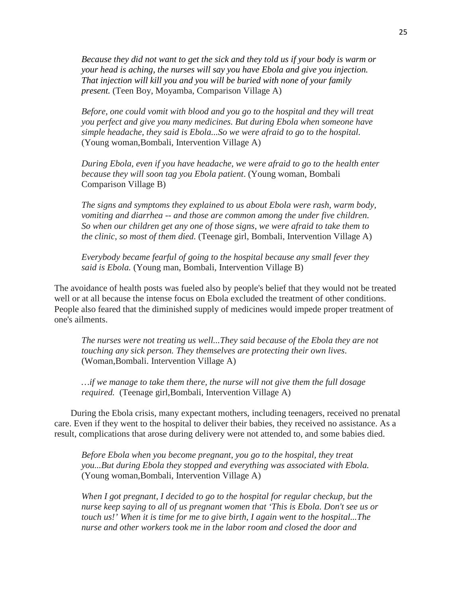*Because they did not want to get the sick and they told us if your body is warm or your head is aching, the nurses will say you have Ebola and give you injection. That injection will kill you and you will be buried with none of your family present.* (Teen Boy, Moyamba, Comparison Village A)

*Before, one could vomit with blood and you go to the hospital and they will treat you perfect and give you many medicines. But during Ebola when someone have simple headache, they said is Ebola...So we were afraid to go to the hospital.*  (Young woman,Bombali, Intervention Village A)

*During Ebola, even if you have headache, we were afraid to go to the health enter because they will soon tag you Ebola patient*. (Young woman, Bombali Comparison Village B)

*The signs and symptoms they explained to us about Ebola were rash, warm body, vomiting and diarrhea -- and those are common among the under five children. So when our children get any one of those signs, we were afraid to take them to the clinic, so most of them died.* (Teenage girl, Bombali, Intervention Village A)

*Everybody became fearful of going to the hospital because any small fever they said is Ebola.* (Young man, Bombali, Intervention Village B)

The avoidance of health posts was fueled also by people's belief that they would not be treated well or at all because the intense focus on Ebola excluded the treatment of other conditions. People also feared that the diminished supply of medicines would impede proper treatment of one's ailments.

*The nurses were not treating us well...They said because of the Ebola they are not touching any sick person. They themselves are protecting their own lives*. (Woman,Bombali. Intervention Village A)

*…if we manage to take them there, the nurse will not give them the full dosage required.* (Teenage girl,Bombali, Intervention Village A)

During the Ebola crisis, many expectant mothers, including teenagers, received no prenatal care. Even if they went to the hospital to deliver their babies, they received no assistance. As a result, complications that arose during delivery were not attended to, and some babies died.

*Before Ebola when you become pregnant, you go to the hospital, they treat you...But during Ebola they stopped and everything was associated with Ebola.* (Young woman,Bombali, Intervention Village A)

*When I got pregnant, I decided to go to the hospital for regular checkup, but the nurse keep saying to all of us pregnant women that 'This is Ebola. Don't see us or touch us!' When it is time for me to give birth, I again went to the hospital...The nurse and other workers took me in the labor room and closed the door and*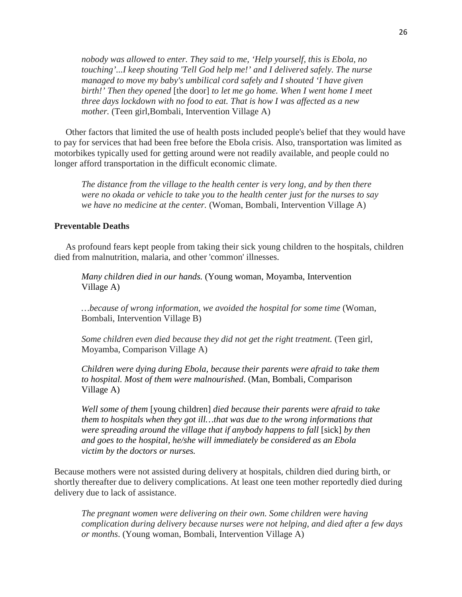*nobody was allowed to enter. They said to me, 'Help yourself, this is Ebola, no touching'...I keep shouting 'Tell God help me!' and I delivered safely. The nurse managed to move my baby's umbilical cord safely and I shouted 'I have given birth!' Then they opened* [the door] *to let me go home. When I went home I meet three days lockdown with no food to eat. That is how I was affected as a new mother.* (Teen girl,Bombali, Intervention Village A)

 Other factors that limited the use of health posts included people's belief that they would have to pay for services that had been free before the Ebola crisis. Also, transportation was limited as motorbikes typically used for getting around were not readily available, and people could no longer afford transportation in the difficult economic climate.

*The distance from the village to the health center is very long, and by then there were no okada or vehicle to take you to the health center just for the nurses to say we have no medicine at the center.* (Woman, Bombali, Intervention Village A)

# **Preventable Deaths**

 As profound fears kept people from taking their sick young children to the hospitals, children died from malnutrition, malaria, and other 'common' illnesses.

*Many children died in our hands.* (Young woman, Moyamba, Intervention Village A)

*…because of wrong information, we avoided the hospital for some time* (Woman, Bombali, Intervention Village B)

*Some children even died because they did not get the right treatment.* (Teen girl, Moyamba, Comparison Village A)

*Children were dying during Ebola, because their parents were afraid to take them to hospital. Most of them were malnourished*. (Man, Bombali, Comparison Village A)

*Well some of them* [young children] *died because their parents were afraid to take them to hospitals when they got ill…that was due to the wrong informations that were spreading around the village that if anybody happens to fall* [sick] *by then and goes to the hospital, he/she will immediately be considered as an Ebola victim by the doctors or nurses.*

Because mothers were not assisted during delivery at hospitals, children died during birth, or shortly thereafter due to delivery complications. At least one teen mother reportedly died during delivery due to lack of assistance.

*The pregnant women were delivering on their own. Some children were having complication during delivery because nurses were not helping, and died after a few days or months*. (Young woman, Bombali, Intervention Village A)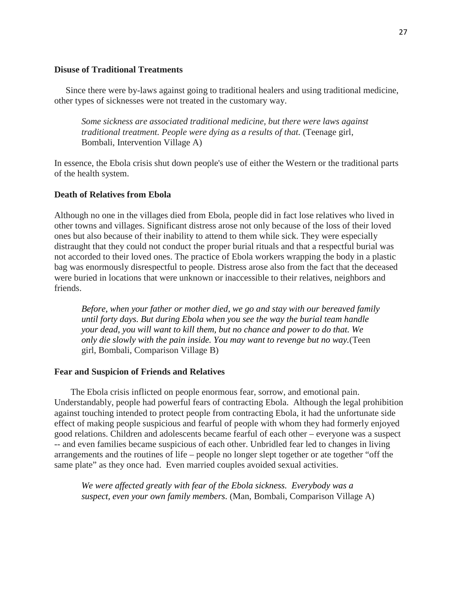# **Disuse of Traditional Treatments**

 Since there were by-laws against going to traditional healers and using traditional medicine, other types of sicknesses were not treated in the customary way.

*Some sickness are associated traditional medicine, but there were laws against traditional treatment. People were dying as a results of that.* (Teenage girl, Bombali, Intervention Village A)

In essence, the Ebola crisis shut down people's use of either the Western or the traditional parts of the health system.

# **Death of Relatives from Ebola**

Although no one in the villages died from Ebola, people did in fact lose relatives who lived in other towns and villages. Significant distress arose not only because of the loss of their loved ones but also because of their inability to attend to them while sick. They were especially distraught that they could not conduct the proper burial rituals and that a respectful burial was not accorded to their loved ones. The practice of Ebola workers wrapping the body in a plastic bag was enormously disrespectful to people. Distress arose also from the fact that the deceased were buried in locations that were unknown or inaccessible to their relatives, neighbors and friends.

*Before, when your father or mother died, we go and stay with our bereaved family until forty days. But during Ebola when you see the way the burial team handle your dead, you will want to kill them, but no chance and power to do that. We only die slowly with the pain inside. You may want to revenge but no way.*(Teen girl, Bombali, Comparison Village B)

#### **Fear and Suspicion of Friends and Relatives**

The Ebola crisis inflicted on people enormous fear, sorrow, and emotional pain. Understandably, people had powerful fears of contracting Ebola. Although the legal prohibition against touching intended to protect people from contracting Ebola, it had the unfortunate side effect of making people suspicious and fearful of people with whom they had formerly enjoyed good relations. Children and adolescents became fearful of each other – everyone was a suspect -- and even families became suspicious of each other. Unbridled fear led to changes in living arrangements and the routines of life – people no longer slept together or ate together "off the same plate" as they once had. Even married couples avoided sexual activities.

*We were affected greatly with fear of the Ebola sickness. Everybody was a suspect, even your own family members*. (Man, Bombali, Comparison Village A)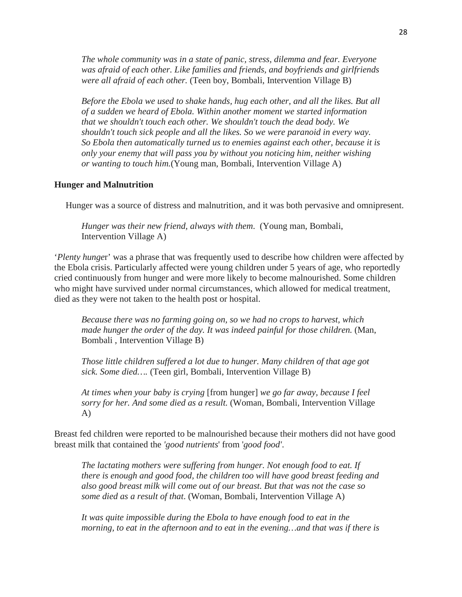*The whole community was in a state of panic, stress, dilemma and fear. Everyone was afraid of each other. Like families and friends, and boyfriends and girlfriends were all afraid of each other.* (Teen boy, Bombali, Intervention Village B)

*Before the Ebola we used to shake hands, hug each other, and all the likes. But all of a sudden we heard of Ebola. Within another moment we started information that we shouldn't touch each other. We shouldn't touch the dead body. We shouldn't touch sick people and all the likes. So we were paranoid in every way. So Ebola then automatically turned us to enemies against each other, because it is only your enemy that will pass you by without you noticing him, neither wishing or wanting to touch him.*(Young man, Bombali, Intervention Village A)

#### **Hunger and Malnutrition**

Hunger was a source of distress and malnutrition, and it was both pervasive and omnipresent.

*Hunger was their new friend, always with them*. (Young man, Bombali, Intervention Village A)

'*Plenty hunge*r' was a phrase that was frequently used to describe how children were affected by the Ebola crisis. Particularly affected were young children under 5 years of age, who reportedly cried continuously from hunger and were more likely to become malnourished. Some children who might have survived under normal circumstances, which allowed for medical treatment, died as they were not taken to the health post or hospital.

*Because there was no farming going on, so we had no crops to harvest, which*  made hunger the order of the day. It was indeed painful for those children. (Man, Bombali , Intervention Village B)

*Those little children suffered a lot due to hunger. Many children of that age got sick. Some died….* (Teen girl, Bombali, Intervention Village B)

*At times when your baby is crying* [from hunger] *we go far away, because I feel sorry for her. And some died as a result.* (Woman, Bombali, Intervention Village A)

Breast fed children were reported to be malnourished because their mothers did not have good breast milk that contained the *'good nutrients*' from '*good food'*.

*The lactating mothers were suffering from hunger. Not enough food to eat. If there is enough and good food, the children too will have good breast feeding and also good breast milk will come out of our breast. But that was not the case so some died as a result of that*. (Woman, Bombali, Intervention Village A)

*It was quite impossible during the Ebola to have enough food to eat in the morning, to eat in the afternoon and to eat in the evening…and that was if there is*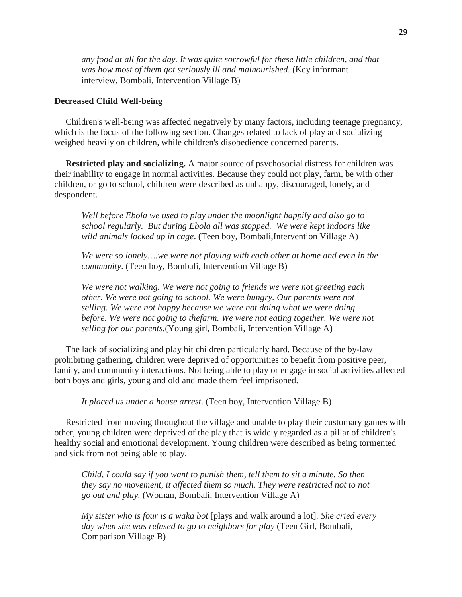*any food at all for the day. It was quite sorrowful for these little children, and that was how most of them got seriously ill and malnourished*. (Key informant interview, Bombali, Intervention Village B)

#### **Decreased Child Well-being**

 Children's well-being was affected negatively by many factors, including teenage pregnancy, which is the focus of the following section. Changes related to lack of play and socializing weighed heavily on children, while children's disobedience concerned parents.

 **Restricted play and socializing.** A major source of psychosocial distress for children was their inability to engage in normal activities. Because they could not play, farm, be with other children, or go to school, children were described as unhappy, discouraged, lonely, and despondent.

*Well before Ebola we used to play under the moonlight happily and also go to school regularly. But during Ebola all was stopped. We were kept indoors like wild animals locked up in cage*. (Teen boy, Bombali,Intervention Village A)

*We were so lonely….we were not playing with each other at home and even in the community*. (Teen boy, Bombali, Intervention Village B)

*We were not walking. We were not going to friends we were not greeting each other. We were not going to school. We were hungry. Our parents were not selling. We were not happy because we were not doing what we were doing before. We were not going to thefarm. We were not eating together. We were not selling for our parents.*(Young girl, Bombali, Intervention Village A)

 The lack of socializing and play hit children particularly hard. Because of the by-law prohibiting gathering, children were deprived of opportunities to benefit from positive peer, family, and community interactions. Not being able to play or engage in social activities affected both boys and girls, young and old and made them feel imprisoned.

*It placed us under a house arrest*. (Teen boy, Intervention Village B)

 Restricted from moving throughout the village and unable to play their customary games with other, young children were deprived of the play that is widely regarded as a pillar of children's healthy social and emotional development. Young children were described as being tormented and sick from not being able to play.

*Child, I could say if you want to punish them, tell them to sit a minute. So then they say no movement, it affected them so much. They were restricted not to not go out and play.* (Woman, Bombali, Intervention Village A)

*My sister who is four is a waka bot* [plays and walk around a lot]*. She cried every day when she was refused to go to neighbors for play* (Teen Girl, Bombali, Comparison Village B)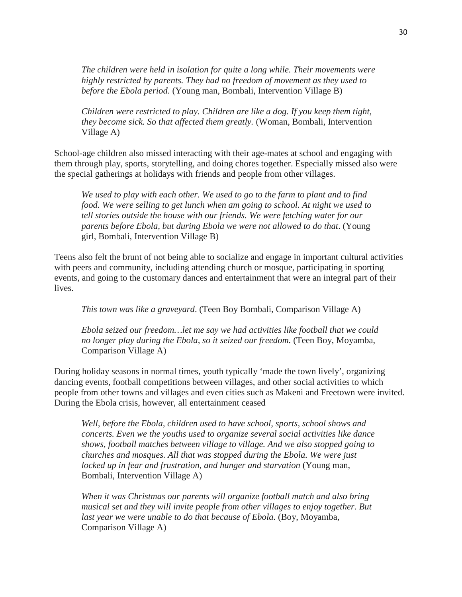*The children were held in isolation for quite a long while. Their movements were highly restricted by parents. They had no freedom of movement as they used to before the Ebola period*. (Young man, Bombali, Intervention Village B)

*Children were restricted to play. Children are like a dog. If you keep them tight, they become sick. So that affected them greatly.* (Woman, Bombali, Intervention Village A)

School-age children also missed interacting with their age-mates at school and engaging with them through play, sports, storytelling, and doing chores together. Especially missed also were the special gatherings at holidays with friends and people from other villages.

*We used to play with each other. We used to go to the farm to plant and to find food. We were selling to get lunch when am going to school. At night we used to tell stories outside the house with our friends. We were fetching water for our parents before Ebola, but during Ebola we were not allowed to do that*. (Young girl, Bombali, Intervention Village B)

Teens also felt the brunt of not being able to socialize and engage in important cultural activities with peers and community, including attending church or mosque, participating in sporting events, and going to the customary dances and entertainment that were an integral part of their lives.

*This town was like a graveyard*. (Teen Boy Bombali, Comparison Village A)

*Ebola seized our freedom…let me say we had activities like football that we could no longer play during the Ebola, so it seized our freedom.* (Teen Boy, Moyamba, Comparison Village A)

During holiday seasons in normal times, youth typically 'made the town lively', organizing dancing events, football competitions between villages, and other social activities to which people from other towns and villages and even cities such as Makeni and Freetown were invited. During the Ebola crisis, however, all entertainment ceased

*Well, before the Ebola, children used to have school, sports, school shows and concerts. Even we the youths used to organize several social activities like dance shows, football matches between village to village. And we also stopped going to churches and mosques. All that was stopped during the Ebola. We were just locked up in fear and frustration, and hunger and starvation* (Young man, Bombali, Intervention Village A)

*When it was Christmas our parents will organize football match and also bring musical set and they will invite people from other villages to enjoy together. But*  last year we were unable to do that because of Ebola. (Boy, Moyamba, Comparison Village A)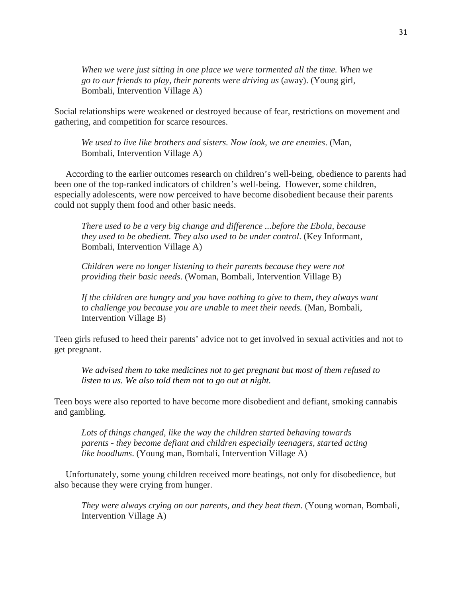*When we were just sitting in one place we were tormented all the time. When we go to our friends to play, their parents were driving us* (away). (Young girl, Bombali, Intervention Village A)

Social relationships were weakened or destroyed because of fear, restrictions on movement and gathering, and competition for scarce resources.

*We used to live like brothers and sisters. Now look, we are enemies*. (Man, Bombali, Intervention Village A)

 According to the earlier outcomes research on children's well-being, obedience to parents had been one of the top-ranked indicators of children's well-being. However, some children, especially adolescents, were now perceived to have become disobedient because their parents could not supply them food and other basic needs.

*There used to be a very big change and difference ...before the Ebola, because they used to be obedient. They also used to be under control*. (Key Informant, Bombali, Intervention Village A)

*Children were no longer listening to their parents because they were not providing their basic needs*. (Woman, Bombali, Intervention Village B)

*If the children are hungry and you have nothing to give to them, they always want to challenge you because you are unable to meet their needs.* (Man, Bombali, Intervention Village B)

Teen girls refused to heed their parents' advice not to get involved in sexual activities and not to get pregnant.

*We advised them to take medicines not to get pregnant but most of them refused to listen to us. We also told them not to go out at night.*

Teen boys were also reported to have become more disobedient and defiant, smoking cannabis and gambling.

*Lots of things changed, like the way the children started behaving towards parents - they become defiant and children especially teenagers, started acting like hoodlums*. (Young man, Bombali, Intervention Village A)

 Unfortunately, some young children received more beatings, not only for disobedience, but also because they were crying from hunger.

*They were always crying on our parents, and they beat them*. (Young woman, Bombali, Intervention Village A)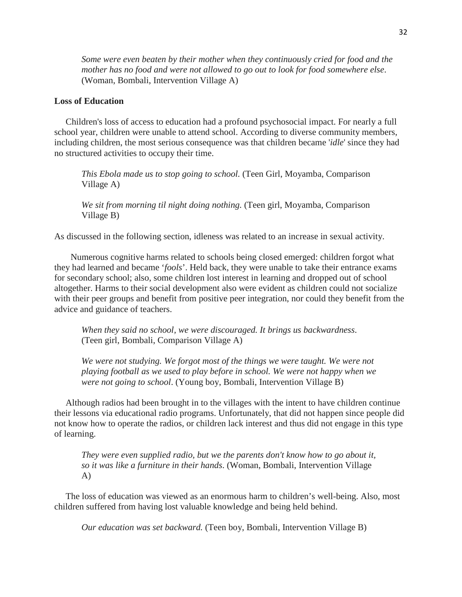*Some were even beaten by their mother when they continuously cried for food and the mother has no food and were not allowed to go out to look for food somewhere else*. (Woman, Bombali, Intervention Village A)

# **Loss of Education**

 Children's loss of access to education had a profound psychosocial impact. For nearly a full school year, children were unable to attend school. According to diverse community members, including children, the most serious consequence was that children became '*idle*' since they had no structured activities to occupy their time.

*This Ebola made us to stop going to school.* (Teen Girl, Moyamba, Comparison Village A)

*We sit from morning til night doing nothing.* (Teen girl, Moyamba, Comparison Village B)

As discussed in the following section, idleness was related to an increase in sexual activity.

Numerous cognitive harms related to schools being closed emerged: children forgot what they had learned and became '*fools*'. Held back, they were unable to take their entrance exams for secondary school; also, some children lost interest in learning and dropped out of school altogether. Harms to their social development also were evident as children could not socialize with their peer groups and benefit from positive peer integration, nor could they benefit from the advice and guidance of teachers.

*When they said no school, we were discouraged. It brings us backwardness*. (Teen girl, Bombali, Comparison Village A)

*We were not studying. We forgot most of the things we were taught. We were not playing football as we used to play before in school. We were not happy when we were not going to school*. (Young boy, Bombali, Intervention Village B)

 Although radios had been brought in to the villages with the intent to have children continue their lessons via educational radio programs. Unfortunately, that did not happen since people did not know how to operate the radios, or children lack interest and thus did not engage in this type of learning.

*They were even supplied radio, but we the parents don't know how to go about it, so it was like a furniture in their hands*. (Woman, Bombali, Intervention Village A)

 The loss of education was viewed as an enormous harm to children's well-being. Also, most children suffered from having lost valuable knowledge and being held behind.

*Our education was set backward.* (Teen boy, Bombali, Intervention Village B)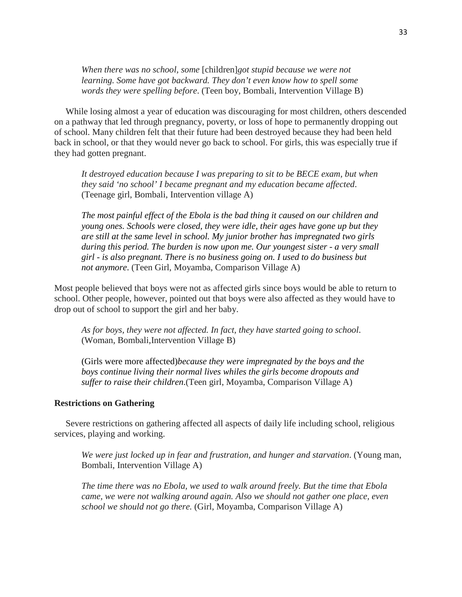*When there was no school, some* [children]*got stupid because we were not learning. Some have got backward. They don't even know how to spell some words they were spelling before*. (Teen boy, Bombali, Intervention Village B)

 While losing almost a year of education was discouraging for most children, others descended on a pathway that led through pregnancy, poverty, or loss of hope to permanently dropping out of school. Many children felt that their future had been destroyed because they had been held back in school, or that they would never go back to school. For girls, this was especially true if they had gotten pregnant.

*It destroyed education because I was preparing to sit to be BECE exam, but when they said 'no school' I became pregnant and my education became affected*. (Teenage girl, Bombali, Intervention village A)

*The most painful effect of the Ebola is the bad thing it caused on our children and young ones. Schools were closed, they were idle, their ages have gone up but they are still at the same level in school. My junior brother has impregnated two girls during this period. The burden is now upon me. Our youngest sister - a very small girl - is also pregnant. There is no business going on. I used to do business but not anymore*. (Teen Girl, Moyamba, Comparison Village A)

Most people believed that boys were not as affected girls since boys would be able to return to school. Other people, however, pointed out that boys were also affected as they would have to drop out of school to support the girl and her baby.

*As for boys, they were not affected. In fact, they have started going to school*. (Woman, Bombali,Intervention Village B)

(Girls were more affected)*because they were impregnated by the boys and the boys continue living their normal lives whiles the girls become dropouts and suffer to raise their children*.(Teen girl, Moyamba, Comparison Village A)

### **Restrictions on Gathering**

 Severe restrictions on gathering affected all aspects of daily life including school, religious services, playing and working.

*We were just locked up in fear and frustration, and hunger and starvation*. (Young man, Bombali, Intervention Village A)

*The time there was no Ebola, we used to walk around freely. But the time that Ebola came, we were not walking around again. Also we should not gather one place, even school we should not go there.* (Girl, Moyamba, Comparison Village A)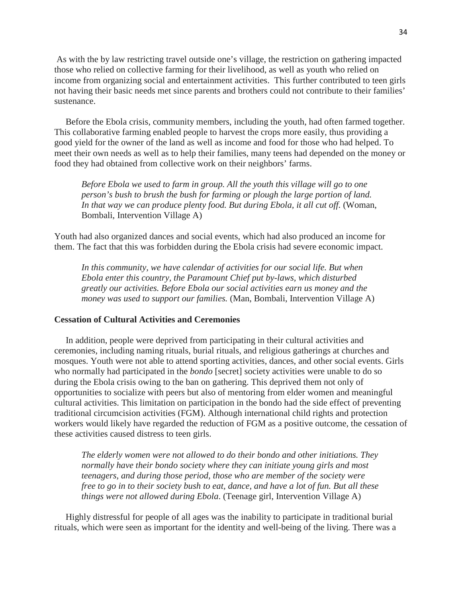As with the by law restricting travel outside one's village, the restriction on gathering impacted those who relied on collective farming for their livelihood, as well as youth who relied on income from organizing social and entertainment activities. This further contributed to teen girls not having their basic needs met since parents and brothers could not contribute to their families' sustenance.

 Before the Ebola crisis, community members, including the youth, had often farmed together. This collaborative farming enabled people to harvest the crops more easily, thus providing a good yield for the owner of the land as well as income and food for those who had helped. To meet their own needs as well as to help their families, many teens had depended on the money or food they had obtained from collective work on their neighbors' farms.

*Before Ebola we used to farm in group. All the youth this village will go to one person's bush to brush the bush for farming or plough the large portion of land. In that way we can produce plenty food. But during Ebola, it all cut off.* (Woman, Bombali, Intervention Village A)

Youth had also organized dances and social events, which had also produced an income for them. The fact that this was forbidden during the Ebola crisis had severe economic impact.

*In this community, we have calendar of activities for our social life. But when Ebola enter this country, the Paramount Chief put by-laws, which disturbed greatly our activities. Before Ebola our social activities earn us money and the money was used to support our families.* (Man, Bombali, Intervention Village A)

# **Cessation of Cultural Activities and Ceremonies**

 In addition, people were deprived from participating in their cultural activities and ceremonies, including naming rituals, burial rituals, and religious gatherings at churches and mosques. Youth were not able to attend sporting activities, dances, and other social events. Girls who normally had participated in the *bondo* [secret] society activities were unable to do so during the Ebola crisis owing to the ban on gathering. This deprived them not only of opportunities to socialize with peers but also of mentoring from elder women and meaningful cultural activities. This limitation on participation in the bondo had the side effect of preventing traditional circumcision activities (FGM). Although international child rights and protection workers would likely have regarded the reduction of FGM as a positive outcome, the cessation of these activities caused distress to teen girls.

*The elderly women were not allowed to do their bondo and other initiations. They normally have their bondo society where they can initiate young girls and most teenagers, and during those period, those who are member of the society were free to go in to their society bush to eat, dance, and have a lot of fun. But all these things were not allowed during Ebola*. (Teenage girl, Intervention Village A)

 Highly distressful for people of all ages was the inability to participate in traditional burial rituals, which were seen as important for the identity and well-being of the living. There was a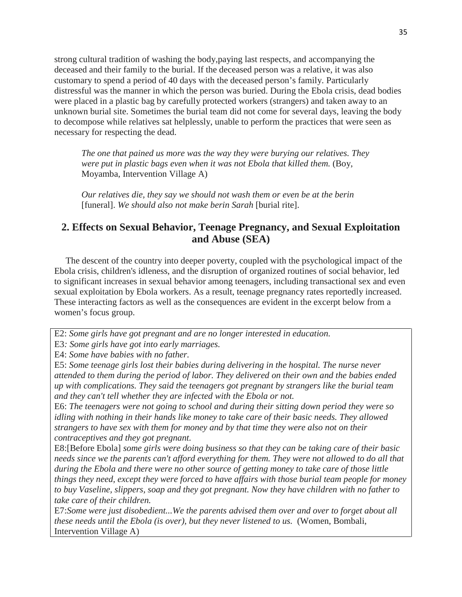strong cultural tradition of washing the body,paying last respects, and accompanying the deceased and their family to the burial. If the deceased person was a relative, it was also customary to spend a period of 40 days with the deceased person's family. Particularly distressful was the manner in which the person was buried. During the Ebola crisis, dead bodies were placed in a plastic bag by carefully protected workers (strangers) and taken away to an unknown burial site. Sometimes the burial team did not come for several days, leaving the body to decompose while relatives sat helplessly, unable to perform the practices that were seen as necessary for respecting the dead.

*The one that pained us more was the way they were burying our relatives. They were put in plastic bags even when it was not Ebola that killed them.* (Boy, Moyamba, Intervention Village A)

*Our relatives die, they say we should not wash them or even be at the berin*  [funeral]. *We should also not make berin Sarah* [burial rite].

# **2. Effects on Sexual Behavior, Teenage Pregnancy, and Sexual Exploitation and Abuse (SEA)**

 The descent of the country into deeper poverty, coupled with the psychological impact of the Ebola crisis, children's idleness, and the disruption of organized routines of social behavior, led to significant increases in sexual behavior among teenagers, including transactional sex and even sexual exploitation by Ebola workers. As a result, teenage pregnancy rates reportedly increased. These interacting factors as well as the consequences are evident in the excerpt below from a women's focus group.

E2: *Some girls have got pregnant and are no longer interested in education.*

E3*: Some girls have got into early marriages.*

E4: *Some have babies with no father.*

E5: *Some teenage girls lost their babies during delivering in the hospital. The nurse never attended to them during the period of labor. They delivered on their own and the babies ended up with complications. They said the teenagers got pregnant by strangers like the burial team and they can't tell whether they are infected with the Ebola or not.* 

E6: *The teenagers were not going to school and during their sitting down period they were so idling with nothing in their hands like money to take care of their basic needs. They allowed strangers to have sex with them for money and by that time they were also not on their contraceptives and they got pregnant.*

E8:[Before Ebola] *some girls were doing business so that they can be taking care of their basic needs since we the parents can't afford everything for them. They were not allowed to do all that during the Ebola and there were no other source of getting money to take care of those little things they need, except they were forced to have affairs with those burial team people for money to buy Vaseline, slippers, soap and they got pregnant. Now they have children with no father to take care of their children.*

E7:*Some were just disobedient...We the parents advised them over and over to forget about all these needs until the Ebola (is over), but they never listened to us. (Women, Bombali,* Intervention Village A)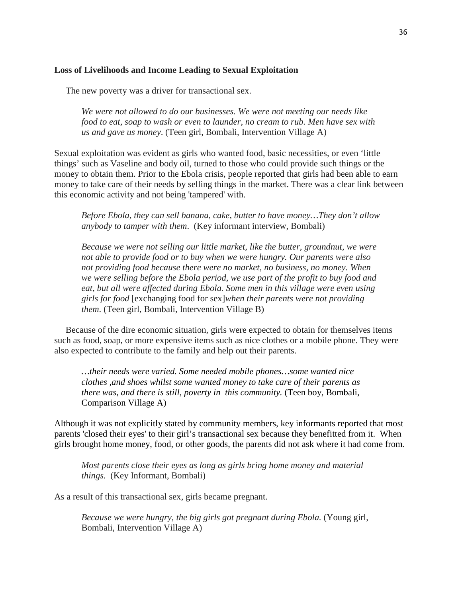#### **Loss of Livelihoods and Income Leading to Sexual Exploitation**

The new poverty was a driver for transactional sex.

*We were not allowed to do our businesses. We were not meeting our needs like food to eat, soap to wash or even to launder, no cream to rub. Men have sex with us and gave us money*. (Teen girl, Bombali, Intervention Village A)

Sexual exploitation was evident as girls who wanted food, basic necessities, or even 'little things' such as Vaseline and body oil, turned to those who could provide such things or the money to obtain them. Prior to the Ebola crisis, people reported that girls had been able to earn money to take care of their needs by selling things in the market. There was a clear link between this economic activity and not being 'tampered' with.

*Before Ebola, they can sell banana, cake, butter to have money…They don't allow anybody to tamper with them*. (Key informant interview, Bombali)

*Because we were not selling our little market, like the butter, groundnut, we were not able to provide food or to buy when we were hungry. Our parents were also not providing food because there were no market, no business, no money. When we were selling before the Ebola period, we use part of the profit to buy food and*  eat, but all were affected during Ebola. Some men in this village were even using *girls for food* [exchanging food for sex]*when their parents were not providing them*. (Teen girl, Bombali, Intervention Village B)

 Because of the dire economic situation, girls were expected to obtain for themselves items such as food, soap, or more expensive items such as nice clothes or a mobile phone. They were also expected to contribute to the family and help out their parents.

*…their needs were varied. Some needed mobile phones…some wanted nice clothes ,and shoes whilst some wanted money to take care of their parents as there was, and there is still, poverty in this community.* (Teen boy, Bombali, Comparison Village A)

Although it was not explicitly stated by community members, key informants reported that most parents 'closed their eyes' to their girl's transactional sex because they benefitted from it. When girls brought home money, food, or other goods, the parents did not ask where it had come from.

*Most parents close their eyes as long as girls bring home money and material things.* (Key Informant, Bombali)

As a result of this transactional sex, girls became pregnant.

*Because we were hungry, the big girls got pregnant during Ebola.* (Young girl, Bombali, Intervention Village A)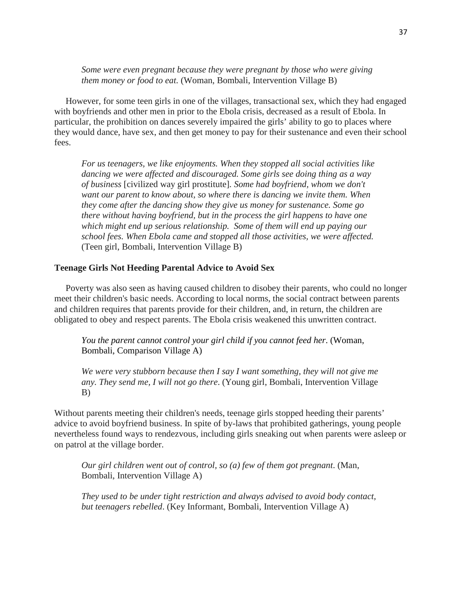*Some were even pregnant because they were pregnant by those who were giving them money or food to eat.* (Woman, Bombali, Intervention Village B)

 However, for some teen girls in one of the villages, transactional sex, which they had engaged with boyfriends and other men in prior to the Ebola crisis, decreased as a result of Ebola. In particular, the prohibition on dances severely impaired the girls' ability to go to places where they would dance, have sex, and then get money to pay for their sustenance and even their school fees.

*For us teenagers, we like enjoyments. When they stopped all social activities like dancing we were affected and discouraged. Some girls see doing thing as a way of business* [civilized way girl prostitute]*. Some had boyfriend, whom we don't want our parent to know about, so where there is dancing we invite them. When they come after the dancing show they give us money for sustenance. Some go there without having boyfriend, but in the process the girl happens to have one which might end up serious relationship. Some of them will end up paying our school fees. When Ebola came and stopped all those activities, we were affected.*  (Teen girl, Bombali, Intervention Village B)

#### **Teenage Girls Not Heeding Parental Advice to Avoid Sex**

 Poverty was also seen as having caused children to disobey their parents, who could no longer meet their children's basic needs. According to local norms, the social contract between parents and children requires that parents provide for their children, and, in return, the children are obligated to obey and respect parents. The Ebola crisis weakened this unwritten contract.

*You the parent cannot control your girl child if you cannot feed her*. (Woman, Bombali, Comparison Village A)

*We were very stubborn because then I say I want something, they will not give me any. They send me, I will not go there*. (Young girl, Bombali, Intervention Village B)

Without parents meeting their children's needs, teenage girls stopped heeding their parents' advice to avoid boyfriend business. In spite of by-laws that prohibited gatherings, young people nevertheless found ways to rendezvous, including girls sneaking out when parents were asleep or on patrol at the village border.

*Our girl children went out of control, so (a) few of them got pregnant*. (Man, Bombali, Intervention Village A)

*They used to be under tight restriction and always advised to avoid body contact, but teenagers rebelled*. (Key Informant, Bombali, Intervention Village A)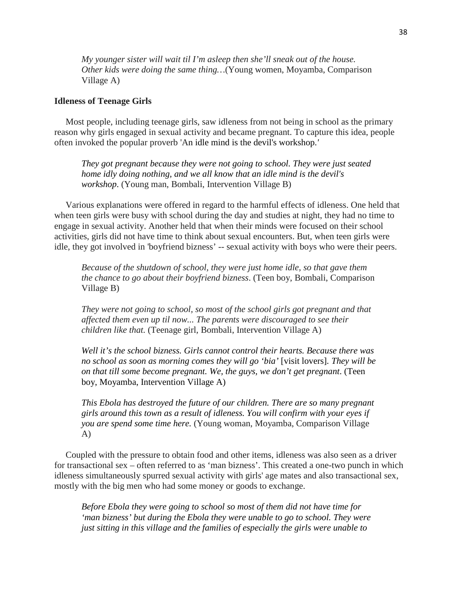*My younger sister will wait til I'm asleep then she'll sneak out of the house. Other kids were doing the same thing…*(Young women, Moyamba, Comparison Village A)

#### **Idleness of Teenage Girls**

 Most people, including teenage girls, saw idleness from not being in school as the primary reason why girls engaged in sexual activity and became pregnant. To capture this idea, people often invoked the popular proverb 'An idle mind is the devil's workshop.*'*

*They got pregnant because they were not going to school. They were just seated home idly doing nothing, and we all know that an idle mind is the devil's workshop*. (Young man, Bombali, Intervention Village B)

 Various explanations were offered in regard to the harmful effects of idleness. One held that when teen girls were busy with school during the day and studies at night, they had no time to engage in sexual activity. Another held that when their minds were focused on their school activities, girls did not have time to think about sexual encounters. But, when teen girls were idle, they got involved in 'boyfriend bizness' -- sexual activity with boys who were their peers.

*Because of the shutdown of school, they were just home idle, so that gave them the chance to go about their boyfriend bizness*. (Teen boy, Bombali, Comparison Village B)

*They were not going to school, so most of the school girls got pregnant and that affected them even up til now... The parents were discouraged to see their children like that.* (Teenage girl, Bombali, Intervention Village A)

*Well it's the school bizness. Girls cannot control their hearts. Because there was no school as soon as morning comes they will go 'bia'* [visit lovers]*. They will be on that till some become pregnant. We, the guys, we don't get pregnant*. (Teen boy, Moyamba, Intervention Village A)

*This Ebola has destroyed the future of our children. There are so many pregnant girls around this town as a result of idleness. You will confirm with your eyes if you are spend some time here.* (Young woman, Moyamba, Comparison Village A)

 Coupled with the pressure to obtain food and other items, idleness was also seen as a driver for transactional sex – often referred to as 'man bizness'. This created a one-two punch in which idleness simultaneously spurred sexual activity with girls' age mates and also transactional sex, mostly with the big men who had some money or goods to exchange.

*Before Ebola they were going to school so most of them did not have time for 'man bizness' but during the Ebola they were unable to go to school. They were just sitting in this village and the families of especially the girls were unable to*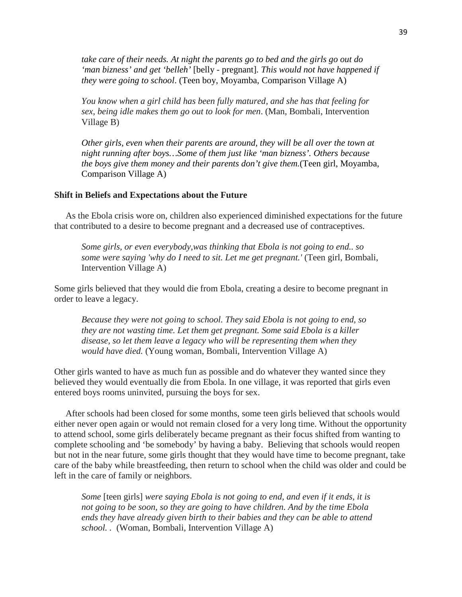*take care of their needs. At night the parents go to bed and the girls go out do 'man bizness' and get 'belleh'* [belly - pregnant]*. This would not have happened if they were going to school*. (Teen boy, Moyamba, Comparison Village A)

*You know when a girl child has been fully matured, and she has that feeling for sex, being idle makes them go out to look for men*. (Man, Bombali, Intervention Village B)

*Other girls, even when their parents are around, they will be all over the town at night running after boys…Some of them just like 'man bizness'. Others because the boys give them money and their parents don't give them.*(Teen girl, Moyamba, Comparison Village A)

## **Shift in Beliefs and Expectations about the Future**

 As the Ebola crisis wore on, children also experienced diminished expectations for the future that contributed to a desire to become pregnant and a decreased use of contraceptives.

*Some girls, or even everybody,was thinking that Ebola is not going to end.. so some were saying 'why do I need to sit. Let me get pregnant.'* (Teen girl, Bombali, Intervention Village A)

Some girls believed that they would die from Ebola, creating a desire to become pregnant in order to leave a legacy.

*Because they were not going to school. They said Ebola is not going to end, so they are not wasting time. Let them get pregnant. Some said Ebola is a killer disease, so let them leave a legacy who will be representing them when they would have died.* (Young woman, Bombali, Intervention Village A)

Other girls wanted to have as much fun as possible and do whatever they wanted since they believed they would eventually die from Ebola. In one village, it was reported that girls even entered boys rooms uninvited, pursuing the boys for sex.

 After schools had been closed for some months, some teen girls believed that schools would either never open again or would not remain closed for a very long time. Without the opportunity to attend school, some girls deliberately became pregnant as their focus shifted from wanting to complete schooling and 'be somebody' by having a baby. Believing that schools would reopen but not in the near future, some girls thought that they would have time to become pregnant, take care of the baby while breastfeeding, then return to school when the child was older and could be left in the care of family or neighbors.

*Some* [teen girls] *were saying Ebola is not going to end, and even if it ends, it is not going to be soon, so they are going to have children. And by the time Ebola ends they have already given birth to their babies and they can be able to attend school. .* (Woman, Bombali, Intervention Village A)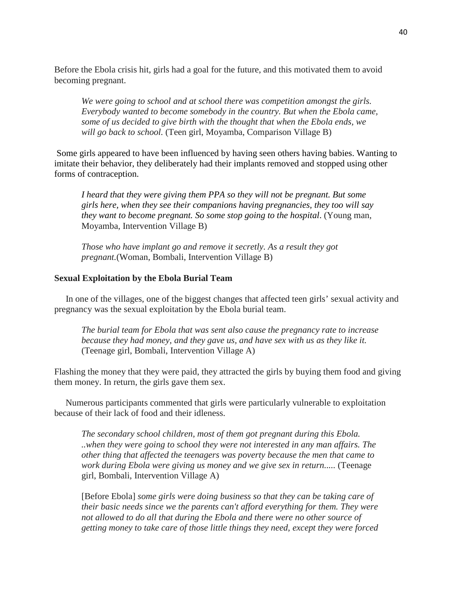Before the Ebola crisis hit, girls had a goal for the future, and this motivated them to avoid becoming pregnant.

*We were going to school and at school there was competition amongst the girls. Everybody wanted to become somebody in the country. But when the Ebola came, some of us decided to give birth with the thought that when the Ebola ends, we will go back to school.* (Teen girl, Moyamba, Comparison Village B)

Some girls appeared to have been influenced by having seen others having babies. Wanting to imitate their behavior, they deliberately had their implants removed and stopped using other forms of contraception.

*I heard that they were giving them PPA so they will not be pregnant. But some girls here, when they see their companions having pregnancies, they too will say they want to become pregnant. So some stop going to the hospital*. (Young man, Moyamba, Intervention Village B)

*Those who have implant go and remove it secretly. As a result they got pregnant.*(Woman, Bombali, Intervention Village B)

#### **Sexual Exploitation by the Ebola Burial Team**

 In one of the villages, one of the biggest changes that affected teen girls' sexual activity and pregnancy was the sexual exploitation by the Ebola burial team.

*The burial team for Ebola that was sent also cause the pregnancy rate to increase because they had money, and they gave us, and have sex with us as they like it.*  (Teenage girl, Bombali, Intervention Village A)

Flashing the money that they were paid, they attracted the girls by buying them food and giving them money. In return, the girls gave them sex.

 Numerous participants commented that girls were particularly vulnerable to exploitation because of their lack of food and their idleness.

*The secondary school children, most of them got pregnant during this Ebola. ..when they were going to school they were not interested in any man affairs. The other thing that affected the teenagers was poverty because the men that came to work during Ebola were giving us money and we give sex in return.....* (Teenage girl, Bombali, Intervention Village A)

[Before Ebola] *some girls were doing business so that they can be taking care of their basic needs since we the parents can't afford everything for them. They were not allowed to do all that during the Ebola and there were no other source of getting money to take care of those little things they need, except they were forced*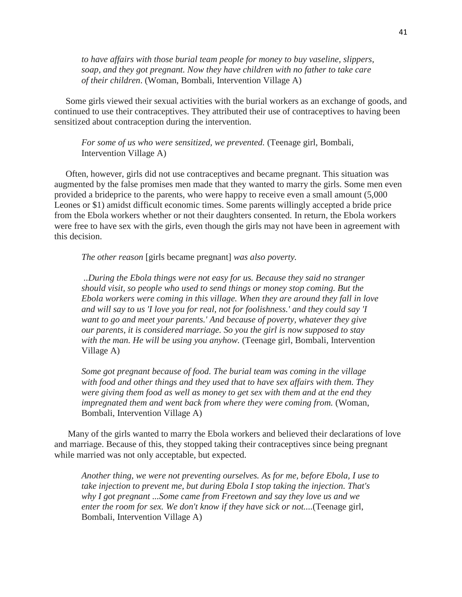*to have affairs with those burial team people for money to buy vaseline, slippers, soap, and they got pregnant. Now they have children with no father to take care of their children*. (Woman, Bombali, Intervention Village A)

 Some girls viewed their sexual activities with the burial workers as an exchange of goods, and continued to use their contraceptives. They attributed their use of contraceptives to having been sensitized about contraception during the intervention.

*For some of us who were sensitized, we prevented.* (Teenage girl, Bombali, Intervention Village A)

 Often, however, girls did not use contraceptives and became pregnant. This situation was augmented by the false promises men made that they wanted to marry the girls. Some men even provided a brideprice to the parents, who were happy to receive even a small amount (5,000 Leones or \$1) amidst difficult economic times. Some parents willingly accepted a bride price from the Ebola workers whether or not their daughters consented. In return, the Ebola workers were free to have sex with the girls, even though the girls may not have been in agreement with this decision.

*The other reason* [girls became pregnant] *was also poverty.*

*..During the Ebola things were not easy for us. Because they said no stranger should visit, so people who used to send things or money stop coming. But the Ebola workers were coming in this village. When they are around they fall in love and will say to us 'I love you for real, not for foolishness.' and they could say 'I want to go and meet your parents.' And because of poverty, whatever they give our parents, it is considered marriage. So you the girl is now supposed to stay with the man. He will be using you anyhow.* (Teenage girl, Bombali, Intervention Village A)

*Some got pregnant because of food. The burial team was coming in the village with food and other things and they used that to have sex affairs with them. They were giving them food as well as money to get sex with them and at the end they impregnated them and went back from where they were coming from.* (Woman, Bombali, Intervention Village A)

 Many of the girls wanted to marry the Ebola workers and believed their declarations of love and marriage. Because of this, they stopped taking their contraceptives since being pregnant while married was not only acceptable, but expected.

*Another thing, we were not preventing ourselves. As for me, before Ebola, I use to take injection to prevent me, but during Ebola I stop taking the injection. That's why I got pregnant ...Some came from Freetown and say they love us and we enter the room for sex. We don't know if they have sick or not....*(Teenage girl, Bombali, Intervention Village A)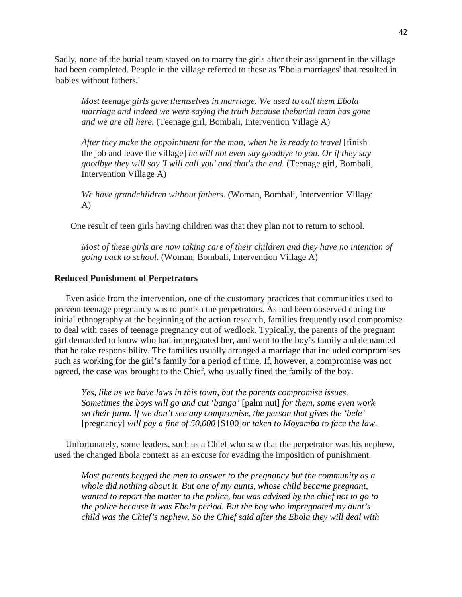Sadly, none of the burial team stayed on to marry the girls after their assignment in the village had been completed. People in the village referred to these as 'Ebola marriages' that resulted in 'babies without fathers.'

*Most teenage girls gave themselves in marriage. We used to call them Ebola marriage and indeed we were saying the truth because theburial team has gone and we are all here.* (Teenage girl, Bombali, Intervention Village A)

*After they make the appointment for the man, when he is ready to travel* [finish] the job and leave the village] *he will not even say goodbye to you. Or if they say goodbye they will say 'I will call you' and that's the end.* (Teenage girl, Bombali, Intervention Village A)

*We have grandchildren without fathers*. (Woman, Bombali, Intervention Village A)

One result of teen girls having children was that they plan not to return to school.

*Most of these girls are now taking care of their children and they have no intention of going back to school*. (Woman, Bombali, Intervention Village A)

### **Reduced Punishment of Perpetrators**

 Even aside from the intervention, one of the customary practices that communities used to prevent teenage pregnancy was to punish the perpetrators. As had been observed during the initial ethnography at the beginning of the action research, families frequently used compromise to deal with cases of teenage pregnancy out of wedlock. Typically, the parents of the pregnant girl demanded to know who had impregnated her, and went to the boy's family and demanded that he take responsibility. The families usually arranged a marriage that included compromises such as working for the girl's family for a period of time. If, however, a compromise was not agreed, the case was brought to the Chief, who usually fined the family of the boy.

*Yes, like us we have laws in this town, but the parents compromise issues. Sometimes the boys will go and cut 'banga'* [palm nut] *for them, some even work on their farm. If we don't see any compromise, the person that gives the 'bele'*  [pregnancy] *will pay a fine of 50,000* [\$100]*or taken to Moyamba to face the law*.

 Unfortunately, some leaders, such as a Chief who saw that the perpetrator was his nephew, used the changed Ebola context as an excuse for evading the imposition of punishment.

*Most parents begged the men to answer to the pregnancy but the community as a whole did nothing about it. But one of my aunts, whose child became pregnant, wanted to report the matter to the police, but was advised by the chief not to go to the police because it was Ebola period. But the boy who impregnated my aunt's child was the Chief's nephew. So the Chief said after the Ebola they will deal with*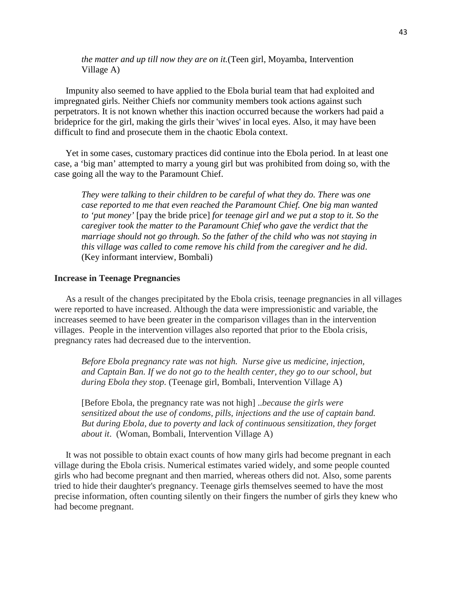*the matter and up till now they are on it.*(Teen girl, Moyamba, Intervention Village A)

 Impunity also seemed to have applied to the Ebola burial team that had exploited and impregnated girls. Neither Chiefs nor community members took actions against such perpetrators. It is not known whether this inaction occurred because the workers had paid a brideprice for the girl, making the girls their 'wives' in local eyes. Also, it may have been difficult to find and prosecute them in the chaotic Ebola context.

 Yet in some cases, customary practices did continue into the Ebola period. In at least one case, a 'big man' attempted to marry a young girl but was prohibited from doing so, with the case going all the way to the Paramount Chief.

*They were talking to their children to be careful of what they do. There was one case reported to me that even reached the Paramount Chief. One big man wanted to 'put money'* [pay the bride price] *for teenage girl and we put a stop to it. So the caregiver took the matter to the Paramount Chief who gave the verdict that the marriage should not go through. So the father of the child who was not staying in this village was called to come remove his child from the caregiver and he did*. (Key informant interview, Bombali)

#### **Increase in Teenage Pregnancies**

 As a result of the changes precipitated by the Ebola crisis, teenage pregnancies in all villages were reported to have increased. Although the data were impressionistic and variable, the increases seemed to have been greater in the comparison villages than in the intervention villages. People in the intervention villages also reported that prior to the Ebola crisis, pregnancy rates had decreased due to the intervention.

*Before Ebola pregnancy rate was not high. Nurse give us medicine, injection, and Captain Ban. If we do not go to the health center, they go to our school, but during Ebola they stop.* (Teenage girl, Bombali, Intervention Village A)

[Before Ebola, the pregnancy rate was not high] ..*because the girls were sensitized about the use of condoms, pills, injections and the use of captain band. But during Ebola, due to poverty and lack of continuous sensitization, they forget about it*. (Woman, Bombali, Intervention Village A)

 It was not possible to obtain exact counts of how many girls had become pregnant in each village during the Ebola crisis. Numerical estimates varied widely, and some people counted girls who had become pregnant and then married, whereas others did not. Also, some parents tried to hide their daughter's pregnancy. Teenage girls themselves seemed to have the most precise information, often counting silently on their fingers the number of girls they knew who had become pregnant.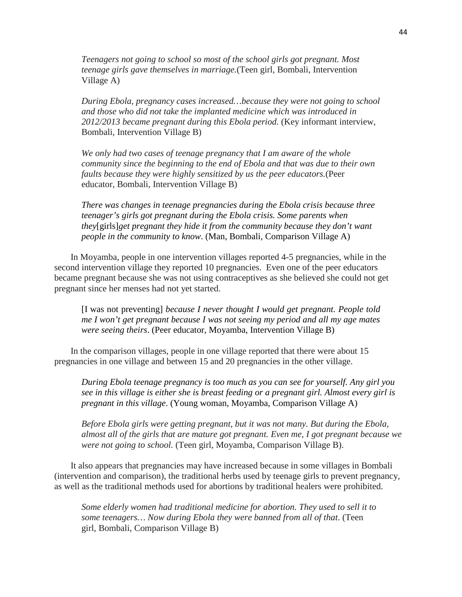*Teenagers not going to school so most of the school girls got pregnant. Most teenage girls gave themselves in marriage.*(Teen girl, Bombali, Intervention Village A)

*During Ebola, pregnancy cases increased…because they were not going to school and those who did not take the implanted medicine which was introduced in 2012/2013 became pregnant during this Ebola period.* (Key informant interview, Bombali, Intervention Village B)

*We only had two cases of teenage pregnancy that I am aware of the whole community since the beginning to the end of Ebola and that was due to their own faults because they were highly sensitized by us the peer educators.*(Peer educator, Bombali, Intervention Village B)

*There was changes in teenage pregnancies during the Ebola crisis because three teenager's girls got pregnant during the Ebola crisis. Some parents when they*[girls]*get pregnant they hide it from the community because they don't want people in the community to know*. (Man, Bombali, Comparison Village A)

In Moyamba, people in one intervention villages reported 4-5 pregnancies, while in the second intervention village they reported 10 pregnancies. Even one of the peer educators became pregnant because she was not using contraceptives as she believed she could not get pregnant since her menses had not yet started.

[I was not preventing] *because I never thought I would get pregnant. People told me I won't get pregnant because I was not seeing my period and all my age mates were seeing theirs*. (Peer educator, Moyamba, Intervention Village B)

In the comparison villages, people in one village reported that there were about 15 pregnancies in one village and between 15 and 20 pregnancies in the other village.

*During Ebola teenage pregnancy is too much as you can see for yourself. Any girl you see in this village is either she is breast feeding or a pregnant girl. Almost every girl is pregnant in this village*. (Young woman, Moyamba, Comparison Village A)

*Before Ebola girls were getting pregnant, but it was not many. But during the Ebola, almost all of the girls that are mature got pregnant. Even me, I got pregnant because we were not going to school.* (Teen girl, Moyamba, Comparison Village B).

It also appears that pregnancies may have increased because in some villages in Bombali (intervention and comparison), the traditional herbs used by teenage girls to prevent pregnancy, as well as the traditional methods used for abortions by traditional healers were prohibited.

*Some elderly women had traditional medicine for abortion. They used to sell it to some teenagers… Now during Ebola they were banned from all of that*. (Teen girl, Bombali, Comparison Village B)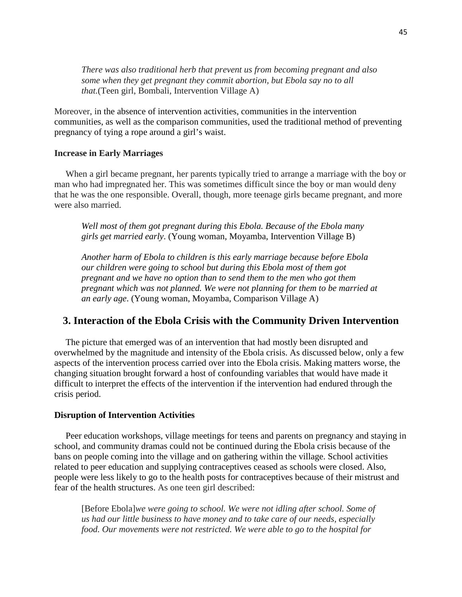*There was also traditional herb that prevent us from becoming pregnant and also some when they get pregnant they commit abortion, but Ebola say no to all that.*(Teen girl, Bombali, Intervention Village A)

Moreover, in the absence of intervention activities, communities in the intervention communities, as well as the comparison communities, used the traditional method of preventing pregnancy of tying a rope around a girl's waist.

# **Increase in Early Marriages**

 When a girl became pregnant, her parents typically tried to arrange a marriage with the boy or man who had impregnated her. This was sometimes difficult since the boy or man would deny that he was the one responsible. Overall, though, more teenage girls became pregnant, and more were also married.

*Well most of them got pregnant during this Ebola. Because of the Ebola many girls get married early*. (Young woman, Moyamba, Intervention Village B)

*Another harm of Ebola to children is this early marriage because before Ebola our children were going to school but during this Ebola most of them got pregnant and we have no option than to send them to the men who got them pregnant which was not planned. We were not planning for them to be married at an early age*. (Young woman, Moyamba, Comparison Village A)

# **3. Interaction of the Ebola Crisis with the Community Driven Intervention**

 The picture that emerged was of an intervention that had mostly been disrupted and overwhelmed by the magnitude and intensity of the Ebola crisis. As discussed below, only a few aspects of the intervention process carried over into the Ebola crisis. Making matters worse, the changing situation brought forward a host of confounding variables that would have made it difficult to interpret the effects of the intervention if the intervention had endured through the crisis period.

#### **Disruption of Intervention Activities**

 Peer education workshops, village meetings for teens and parents on pregnancy and staying in school, and community dramas could not be continued during the Ebola crisis because of the bans on people coming into the village and on gathering within the village. School activities related to peer education and supplying contraceptives ceased as schools were closed. Also, people were less likely to go to the health posts for contraceptives because of their mistrust and fear of the health structures. As one teen girl described:

[Before Ebola]*we were going to school. We were not idling after school. Some of us had our little business to have money and to take care of our needs, especially food. Our movements were not restricted. We were able to go to the hospital for*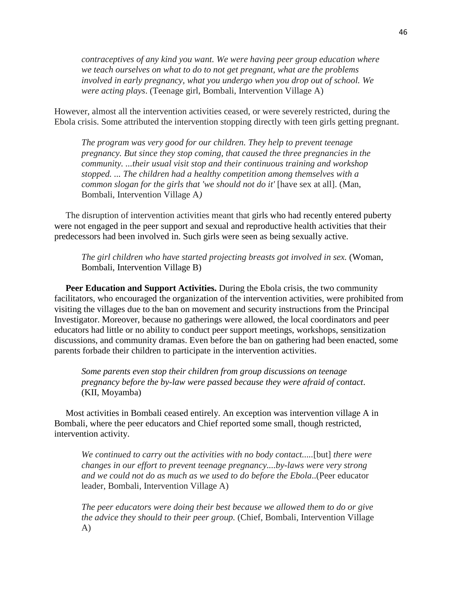*contraceptives of any kind you want. We were having peer group education where we teach ourselves on what to do to not get pregnant, what are the problems involved in early pregnancy, what you undergo when you drop out of school. We were acting plays*. (Teenage girl, Bombali, Intervention Village A)

However, almost all the intervention activities ceased, or were severely restricted, during the Ebola crisis. Some attributed the intervention stopping directly with teen girls getting pregnant.

*The program was very good for our children. They help to prevent teenage pregnancy. But since they stop coming, that caused the three pregnancies in the community. ...their usual visit stop and their continuous training and workshop stopped. ... The children had a healthy competition among themselves with a common slogan for the girls that 'we should not do it'* [have sex at all]. (Man, Bombali, Intervention Village A*)*

 The disruption of intervention activities meant that girls who had recently entered puberty were not engaged in the peer support and sexual and reproductive health activities that their predecessors had been involved in. Such girls were seen as being sexually active.

*The girl children who have started projecting breasts got involved in sex.* (Woman, Bombali, Intervention Village B)

 **Peer Education and Support Activities.** During the Ebola crisis, the two community facilitators, who encouraged the organization of the intervention activities, were prohibited from visiting the villages due to the ban on movement and security instructions from the Principal Investigator. Moreover, because no gatherings were allowed, the local coordinators and peer educators had little or no ability to conduct peer support meetings, workshops, sensitization discussions, and community dramas. Even before the ban on gathering had been enacted, some parents forbade their children to participate in the intervention activities.

*Some parents even stop their children from group discussions on teenage pregnancy before the by-law were passed because they were afraid of contact*. (KII, Moyamba)

 Most activities in Bombali ceased entirely. An exception was intervention village A in Bombali, where the peer educators and Chief reported some small, though restricted, intervention activity.

*We continued to carry out the activities with no body contact.....*[but] *there were changes in our effort to prevent teenage pregnancy....by-laws were very strong and we could not do as much as we used to do before the Ebola*..(Peer educator leader, Bombali, Intervention Village A)

*The peer educators were doing their best because we allowed them to do or give the advice they should to their peer group.* (Chief, Bombali, Intervention Village A)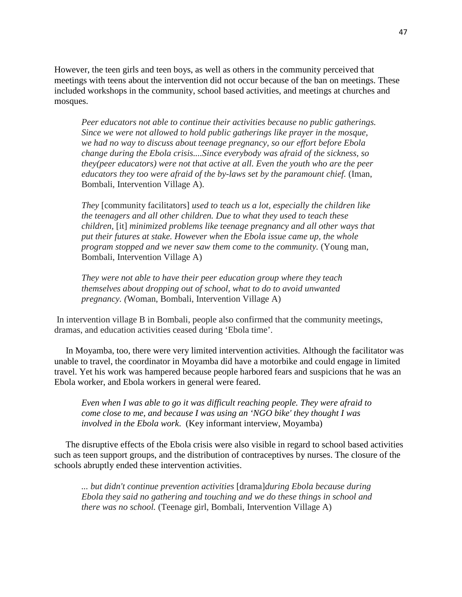However, the teen girls and teen boys, as well as others in the community perceived that meetings with teens about the intervention did not occur because of the ban on meetings. These included workshops in the community, school based activities, and meetings at churches and mosques.

*Peer educators not able to continue their activities because no public gatherings. Since we were not allowed to hold public gatherings like prayer in the mosque, we had no way to discuss about teenage pregnancy, so our effort before Ebola change during the Ebola crisis....Since everybody was afraid of the sickness, so they(peer educators) were not that active at all. Even the youth who are the peer educators they too were afraid of the by-laws set by the paramount chief.* (Iman, Bombali, Intervention Village A).

*They* [community facilitators] *used to teach us a lot, especially the children like the teenagers and all other children. Due to what they used to teach these children,* [it] *minimized problems like teenage pregnancy and all other ways that put their futures at stake. However when the Ebola issue came up, the whole program stopped and we never saw them come to the community.* (Young man, Bombali, Intervention Village A)

*They were not able to have their peer education group where they teach themselves about dropping out of school, what to do to avoid unwanted pregnancy. (*Woman, Bombali, Intervention Village A)

In intervention village B in Bombali, people also confirmed that the community meetings, dramas, and education activities ceased during 'Ebola time'.

 In Moyamba, too, there were very limited intervention activities. Although the facilitator was unable to travel, the coordinator in Moyamba did have a motorbike and could engage in limited travel. Yet his work was hampered because people harbored fears and suspicions that he was an Ebola worker, and Ebola workers in general were feared.

*Even when I was able to go it was difficult reaching people. They were afraid to come close to me, and because I was using an 'NGO bike' they thought I was involved in the Ebola work*. (Key informant interview, Moyamba)

 The disruptive effects of the Ebola crisis were also visible in regard to school based activities such as teen support groups, and the distribution of contraceptives by nurses. The closure of the schools abruptly ended these intervention activities.

*... but didn't continue prevention activities* [drama]*during Ebola because during Ebola they said no gathering and touching and we do these things in school and there was no school.* (Teenage girl, Bombali, Intervention Village A)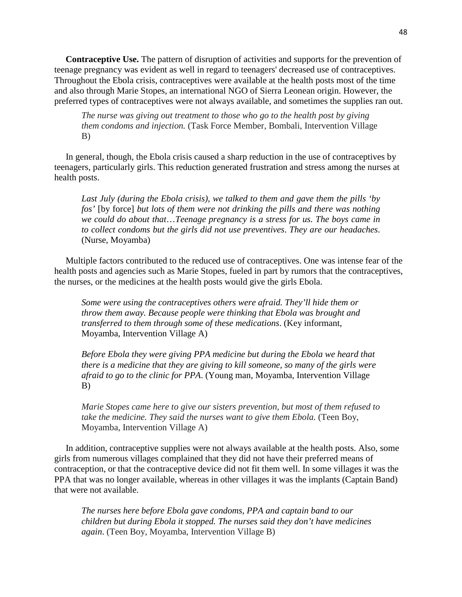**Contraceptive Use.** The pattern of disruption of activities and supports for the prevention of teenage pregnancy was evident as well in regard to teenagers' decreased use of contraceptives. Throughout the Ebola crisis, contraceptives were available at the health posts most of the time and also through Marie Stopes, an international NGO of Sierra Leonean origin. However, the preferred types of contraceptives were not always available, and sometimes the supplies ran out.

*The nurse was giving out treatment to those who go to the health post by giving them condoms and injection.* (Task Force Member, Bombali, Intervention Village B)

 In general, though, the Ebola crisis caused a sharp reduction in the use of contraceptives by teenagers, particularly girls. This reduction generated frustration and stress among the nurses at health posts.

*Last July (during the Ebola crisis), we talked to them and gave them the pills 'by fos'* [by force] *but lots of them were not drinking the pills and there was nothing we could do about that*…*Teenage pregnancy is a stress for us. The boys came in to collect condoms but the girls did not use preventives*. *They are our headaches*. (Nurse, Moyamba)

 Multiple factors contributed to the reduced use of contraceptives. One was intense fear of the health posts and agencies such as Marie Stopes, fueled in part by rumors that the contraceptives, the nurses, or the medicines at the health posts would give the girls Ebola.

*Some were using the contraceptives others were afraid. They'll hide them or throw them away. Because people were thinking that Ebola was brought and transferred to them through some of these medications*. (Key informant, Moyamba, Intervention Village A)

*Before Ebola they were giving PPA medicine but during the Ebola we heard that there is a medicine that they are giving to kill someone, so many of the girls were afraid to go to the clinic for PPA*. (Young man, Moyamba, Intervention Village B)

*Marie Stopes came here to give our sisters prevention, but most of them refused to take the medicine. They said the nurses want to give them Ebola.* (Teen Boy, Moyamba, Intervention Village A)

 In addition, contraceptive supplies were not always available at the health posts. Also, some girls from numerous villages complained that they did not have their preferred means of contraception, or that the contraceptive device did not fit them well. In some villages it was the PPA that was no longer available, whereas in other villages it was the implants (Captain Band) that were not available.

*The nurses here before Ebola gave condoms, PPA and captain band to our children but during Ebola it stopped. The nurses said they don't have medicines again*. (Teen Boy, Moyamba, Intervention Village B)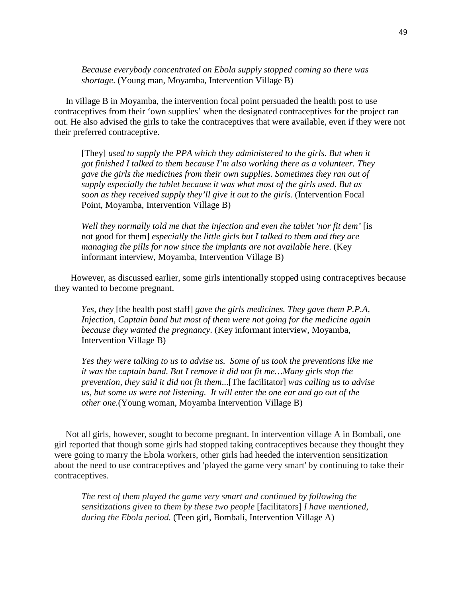*Because everybody concentrated on Ebola supply stopped coming so there was shortage*. (Young man, Moyamba, Intervention Village B)

 In village B in Moyamba, the intervention focal point persuaded the health post to use contraceptives from their 'own supplies' when the designated contraceptives for the project ran out. He also advised the girls to take the contraceptives that were available, even if they were not their preferred contraceptive.

[They] *used to supply the PPA which they administered to the girls. But when it got finished I talked to them because I'm also working there as a volunteer. They gave the girls the medicines from their own supplies. Sometimes they ran out of supply especially the tablet because it was what most of the girls used. But as soon as they received supply they'll give it out to the girls.* (Intervention Focal Point, Moyamba, Intervention Village B)

*Well they normally told me that the injection and even the tablet 'nor fit dem'* [is not good for them] *especially the little girls but I talked to them and they are managing the pills for now since the implants are not available here*. (Key informant interview, Moyamba, Intervention Village B)

However, as discussed earlier, some girls intentionally stopped using contraceptives because they wanted to become pregnant.

*Yes, they* [the health post staff] *gave the girls medicines. They gave them P.P.A, Injection, Captain band but most of them were not going for the medicine again because they wanted the pregnancy*. (Key informant interview, Moyamba, Intervention Village B)

*Yes they were talking to us to advise us. Some of us took the preventions like me it was the captain band. But I remove it did not fit me…Many girls stop the prevention, they said it did not fit them*...[The facilitator] *was calling us to advise us, but some us were not listening. It will enter the one ear and go out of the other one.*(Young woman, Moyamba Intervention Village B)

 Not all girls, however, sought to become pregnant. In intervention village A in Bombali, one girl reported that though some girls had stopped taking contraceptives because they thought they were going to marry the Ebola workers, other girls had heeded the intervention sensitization about the need to use contraceptives and 'played the game very smart' by continuing to take their contraceptives.

*The rest of them played the game very smart and continued by following the sensitizations given to them by these two people* [facilitators] *I have mentioned, during the Ebola period.* (Teen girl, Bombali, Intervention Village A)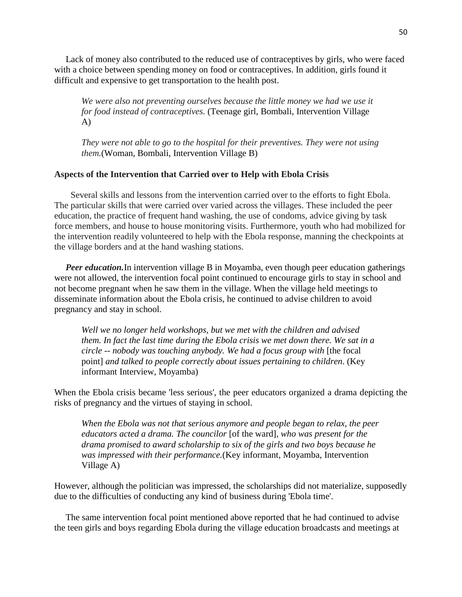Lack of money also contributed to the reduced use of contraceptives by girls, who were faced with a choice between spending money on food or contraceptives. In addition, girls found it difficult and expensive to get transportation to the health post.

*We were also not preventing ourselves because the little money we had we use it for food instead of contraceptives.* (Teenage girl, Bombali, Intervention Village A)

*They were not able to go to the hospital for their preventives. They were not using them.*(Woman, Bombali, Intervention Village B)

# **Aspects of the Intervention that Carried over to Help with Ebola Crisis**

Several skills and lessons from the intervention carried over to the efforts to fight Ebola. The particular skills that were carried over varied across the villages. These included the peer education, the practice of frequent hand washing, the use of condoms, advice giving by task force members, and house to house monitoring visits. Furthermore, youth who had mobilized for the intervention readily volunteered to help with the Ebola response, manning the checkpoints at the village borders and at the hand washing stations.

*Peer education*. In intervention village B in Moyamba, even though peer education gatherings were not allowed, the intervention focal point continued to encourage girls to stay in school and not become pregnant when he saw them in the village. When the village held meetings to disseminate information about the Ebola crisis, he continued to advise children to avoid pregnancy and stay in school.

*Well we no longer held workshops, but we met with the children and advised them. In fact the last time during the Ebola crisis we met down there. We sat in a circle* -- *nobody was touching anybody. We had a focus group with* [the focal point] *and talked to people correctly about issues pertaining to children*. (Key informant Interview, Moyamba)

When the Ebola crisis became 'less serious', the peer educators organized a drama depicting the risks of pregnancy and the virtues of staying in school.

*When the Ebola was not that serious anymore and people began to relax, the peer educators acted a drama. The councilor* [of the ward]*, who was present for the drama promised to award scholarship to six of the girls and two boys because he was impressed with their performance.*(Key informant, Moyamba, Intervention Village A)

However, although the politician was impressed, the scholarships did not materialize, supposedly due to the difficulties of conducting any kind of business during 'Ebola time'.

 The same intervention focal point mentioned above reported that he had continued to advise the teen girls and boys regarding Ebola during the village education broadcasts and meetings at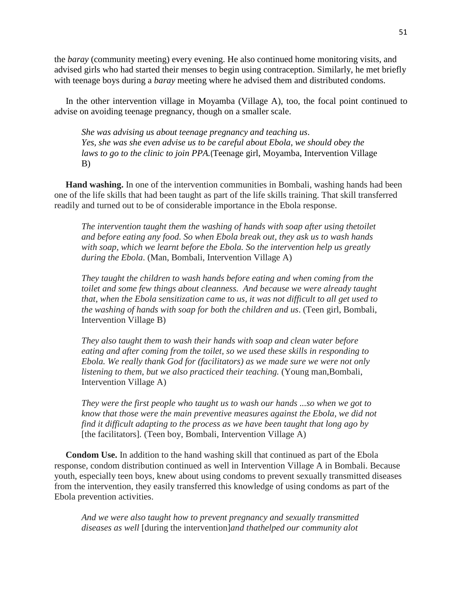the *baray* (community meeting) every evening. He also continued home monitoring visits, and advised girls who had started their menses to begin using contraception. Similarly, he met briefly with teenage boys during a *baray* meeting where he advised them and distributed condoms.

 In the other intervention village in Moyamba (Village A), too, the focal point continued to advise on avoiding teenage pregnancy, though on a smaller scale.

*She was advising us about teenage pregnancy and teaching us*. *Yes, she was she even advise us to be careful about Ebola, we should obey the laws to go to the clinic to join PPA.*(Teenage girl, Moyamba, Intervention Village B)

 **Hand washing.** In one of the intervention communities in Bombali, washing hands had been one of the life skills that had been taught as part of the life skills training. That skill transferred readily and turned out to be of considerable importance in the Ebola response.

*The intervention taught them the washing of hands with soap after using thetoilet and before eating any food. So when Ebola break out, they ask us to wash hands with soap, which we learnt before the Ebola. So the intervention help us greatly during the Ebola*. (Man, Bombali, Intervention Village A)

*They taught the children to wash hands before eating and when coming from the toilet and some few things about cleanness. And because we were already taught that, when the Ebola sensitization came to us, it was not difficult to all get used to the washing of hands with soap for both the children and us*. (Teen girl, Bombali, Intervention Village B)

*They also taught them to wash their hands with soap and clean water before eating and after coming from the toilet, so we used these skills in responding to Ebola. We really thank God for (facilitators) as we made sure we were not only listening to them, but we also practiced their teaching.* (Young man,Bombali, Intervention Village A)

*They were the first people who taught us to wash our hands ...so when we got to know that those were the main preventive measures against the Ebola, we did not find it difficult adapting to the process as we have been taught that long ago by*  [the facilitators]*.* (Teen boy, Bombali, Intervention Village A)

 **Condom Use.** In addition to the hand washing skill that continued as part of the Ebola response, condom distribution continued as well in Intervention Village A in Bombali. Because youth, especially teen boys, knew about using condoms to prevent sexually transmitted diseases from the intervention, they easily transferred this knowledge of using condoms as part of the Ebola prevention activities.

*And we were also taught how to prevent pregnancy and sexually transmitted diseases as well* [during the intervention]*and thathelped our community alot*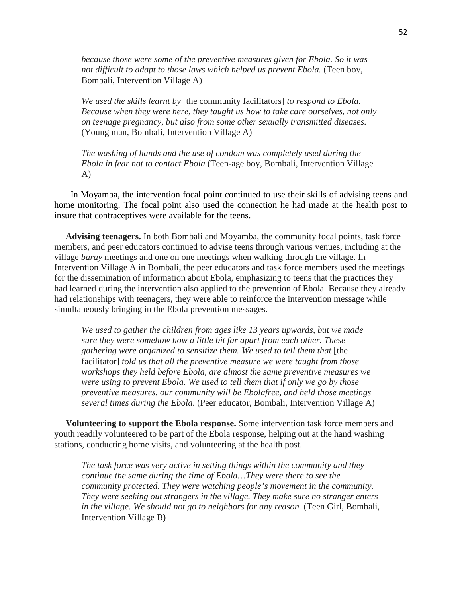*because those were some of the preventive measures given for Ebola. So it was not difficult to adapt to those laws which helped us prevent Ebola.* (Teen boy, Bombali, Intervention Village A)

*We used the skills learnt by* [the community facilitators] *to respond to Ebola. Because when they were here, they taught us how to take care ourselves, not only on teenage pregnancy, but also from some other sexually transmitted diseases.*  (Young man, Bombali, Intervention Village A)

*The washing of hands and the use of condom was completely used during the Ebola in fear not to contact Ebola.*(Teen-age boy*,* Bombali, Intervention Village A)

In Moyamba, the intervention focal point continued to use their skills of advising teens and home monitoring. The focal point also used the connection he had made at the health post to insure that contraceptives were available for the teens.

 **Advising teenagers.** In both Bombali and Moyamba, the community focal points, task force members, and peer educators continued to advise teens through various venues, including at the village *baray* meetings and one on one meetings when walking through the village. In Intervention Village A in Bombali, the peer educators and task force members used the meetings for the dissemination of information about Ebola, emphasizing to teens that the practices they had learned during the intervention also applied to the prevention of Ebola. Because they already had relationships with teenagers, they were able to reinforce the intervention message while simultaneously bringing in the Ebola prevention messages.

*We used to gather the children from ages like 13 years upwards, but we made sure they were somehow how a little bit far apart from each other. These gathering were organized to sensitize them. We used to tell them that* [the facilitator] *told us that all the preventive measure we were taught from those workshops they held before Ebola, are almost the same preventive measures we were using to prevent Ebola. We used to tell them that if only we go by those preventive measures, our community will be Ebolafree, and held those meetings several times during the Ebola*. (Peer educator, Bombali, Intervention Village A)

 **Volunteering to support the Ebola response.** Some intervention task force members and youth readily volunteered to be part of the Ebola response, helping out at the hand washing stations, conducting home visits, and volunteering at the health post.

*The task force was very active in setting things within the community and they continue the same during the time of Ebola…They were there to see the community protected. They were watching people's movement in the community. They were seeking out strangers in the village. They make sure no stranger enters in the village. We should not go to neighbors for any reason.* (Teen Girl, Bombali, Intervention Village B)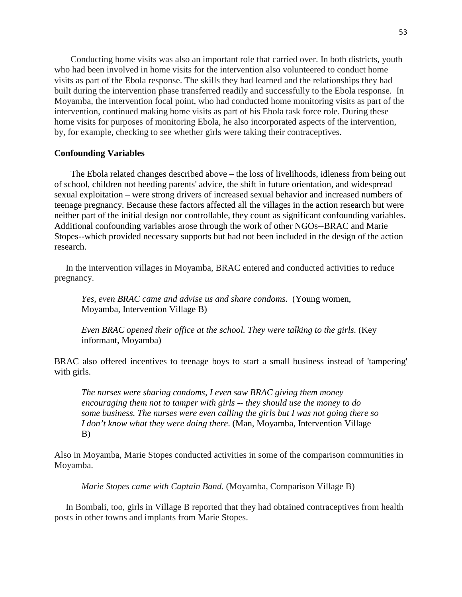Conducting home visits was also an important role that carried over. In both districts, youth who had been involved in home visits for the intervention also volunteered to conduct home visits as part of the Ebola response. The skills they had learned and the relationships they had built during the intervention phase transferred readily and successfully to the Ebola response. In Moyamba, the intervention focal point, who had conducted home monitoring visits as part of the intervention, continued making home visits as part of his Ebola task force role. During these home visits for purposes of monitoring Ebola, he also incorporated aspects of the intervention, by, for example, checking to see whether girls were taking their contraceptives.

### **Confounding Variables**

The Ebola related changes described above – the loss of livelihoods, idleness from being out of school, children not heeding parents' advice, the shift in future orientation, and widespread sexual exploitation – were strong drivers of increased sexual behavior and increased numbers of teenage pregnancy. Because these factors affected all the villages in the action research but were neither part of the initial design nor controllable, they count as significant confounding variables. Additional confounding variables arose through the work of other NGOs--BRAC and Marie Stopes--which provided necessary supports but had not been included in the design of the action research.

 In the intervention villages in Moyamba, BRAC entered and conducted activities to reduce pregnancy.

*Yes, even BRAC came and advise us and share condoms.* (Young women, Moyamba, Intervention Village B)

*Even BRAC opened their office at the school. They were talking to the girls.* (Key informant, Moyamba)

BRAC also offered incentives to teenage boys to start a small business instead of 'tampering' with girls.

*The nurses were sharing condoms, I even saw BRAC giving them money encouraging them not to tamper with girls -- they should use the money to do some business. The nurses were even calling the girls but I was not going there so I don't know what they were doing there*. (Man, Moyamba, Intervention Village B)

Also in Moyamba, Marie Stopes conducted activities in some of the comparison communities in Moyamba.

*Marie Stopes came with Captain Band.* (Moyamba, Comparison Village B)

 In Bombali, too, girls in Village B reported that they had obtained contraceptives from health posts in other towns and implants from Marie Stopes.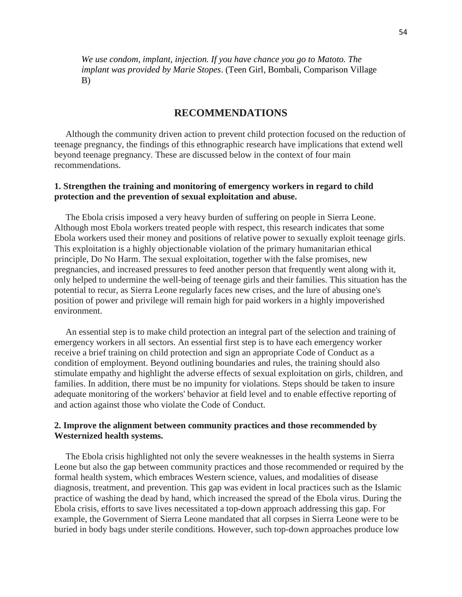*We use condom, implant, injection. If you have chance you go to Matoto. The implant was provided by Marie Stopes*. (Teen Girl, Bombali, Comparison Village B)

# **RECOMMENDATIONS**

 Although the community driven action to prevent child protection focused on the reduction of teenage pregnancy, the findings of this ethnographic research have implications that extend well beyond teenage pregnancy. These are discussed below in the context of four main recommendations.

# **1. Strengthen the training and monitoring of emergency workers in regard to child protection and the prevention of sexual exploitation and abuse.**

 The Ebola crisis imposed a very heavy burden of suffering on people in Sierra Leone. Although most Ebola workers treated people with respect, this research indicates that some Ebola workers used their money and positions of relative power to sexually exploit teenage girls. This exploitation is a highly objectionable violation of the primary humanitarian ethical principle, Do No Harm. The sexual exploitation, together with the false promises, new pregnancies, and increased pressures to feed another person that frequently went along with it, only helped to undermine the well-being of teenage girls and their families. This situation has the potential to recur, as Sierra Leone regularly faces new crises, and the lure of abusing one's position of power and privilege will remain high for paid workers in a highly impoverished environment.

 An essential step is to make child protection an integral part of the selection and training of emergency workers in all sectors. An essential first step is to have each emergency worker receive a brief training on child protection and sign an appropriate Code of Conduct as a condition of employment. Beyond outlining boundaries and rules, the training should also stimulate empathy and highlight the adverse effects of sexual exploitation on girls, children, and families. In addition, there must be no impunity for violations. Steps should be taken to insure adequate monitoring of the workers' behavior at field level and to enable effective reporting of and action against those who violate the Code of Conduct.

# **2. Improve the alignment between community practices and those recommended by Westernized health systems.**

 The Ebola crisis highlighted not only the severe weaknesses in the health systems in Sierra Leone but also the gap between community practices and those recommended or required by the formal health system, which embraces Western science, values, and modalities of disease diagnosis, treatment, and prevention. This gap was evident in local practices such as the Islamic practice of washing the dead by hand, which increased the spread of the Ebola virus. During the Ebola crisis, efforts to save lives necessitated a top-down approach addressing this gap. For example, the Government of Sierra Leone mandated that all corpses in Sierra Leone were to be buried in body bags under sterile conditions. However, such top-down approaches produce low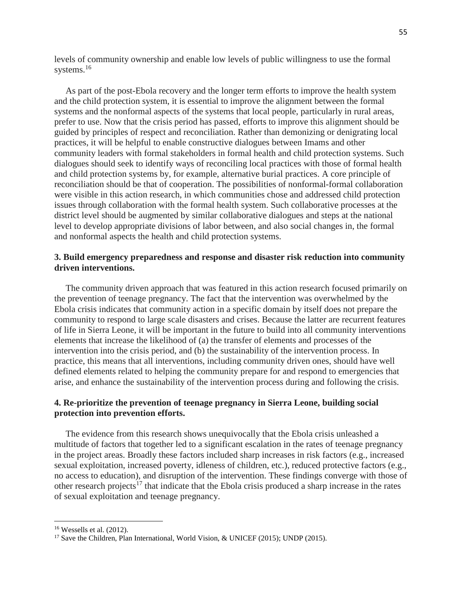levels of community ownership and enable low levels of public willingness to use the formal systems.<sup>16</sup>

 As part of the post-Ebola recovery and the longer term efforts to improve the health system and the child protection system, it is essential to improve the alignment between the formal systems and the nonformal aspects of the systems that local people, particularly in rural areas, prefer to use. Now that the crisis period has passed, efforts to improve this alignment should be guided by principles of respect and reconciliation. Rather than demonizing or denigrating local practices, it will be helpful to enable constructive dialogues between Imams and other community leaders with formal stakeholders in formal health and child protection systems. Such dialogues should seek to identify ways of reconciling local practices with those of formal health and child protection systems by, for example, alternative burial practices. A core principle of reconciliation should be that of cooperation. The possibilities of nonformal-formal collaboration were visible in this action research, in which communities chose and addressed child protection issues through collaboration with the formal health system. Such collaborative processes at the district level should be augmented by similar collaborative dialogues and steps at the national level to develop appropriate divisions of labor between, and also social changes in, the formal and nonformal aspects the health and child protection systems.

# **3. Build emergency preparedness and response and disaster risk reduction into community driven interventions.**

 The community driven approach that was featured in this action research focused primarily on the prevention of teenage pregnancy. The fact that the intervention was overwhelmed by the Ebola crisis indicates that community action in a specific domain by itself does not prepare the community to respond to large scale disasters and crises. Because the latter are recurrent features of life in Sierra Leone, it will be important in the future to build into all community interventions elements that increase the likelihood of (a) the transfer of elements and processes of the intervention into the crisis period, and (b) the sustainability of the intervention process. In practice, this means that all interventions, including community driven ones, should have well defined elements related to helping the community prepare for and respond to emergencies that arise, and enhance the sustainability of the intervention process during and following the crisis.

# **4. Re-prioritize the prevention of teenage pregnancy in Sierra Leone, building social protection into prevention efforts.**

 The evidence from this research shows unequivocally that the Ebola crisis unleashed a multitude of factors that together led to a significant escalation in the rates of teenage pregnancy in the project areas. Broadly these factors included sharp increases in risk factors (e.g., increased sexual exploitation, increased poverty, idleness of children, etc.), reduced protective factors (e.g., no access to education), and disruption of the intervention. These findings converge with those of other research projects<sup>17</sup> that indicate that the Ebola crisis produced a sharp increase in the rates of sexual exploitation and teenage pregnancy.

l

 $16$  Wessells et al. (2012).

<sup>&</sup>lt;sup>17</sup> Save the Children, Plan International, World Vision, & UNICEF (2015); UNDP (2015).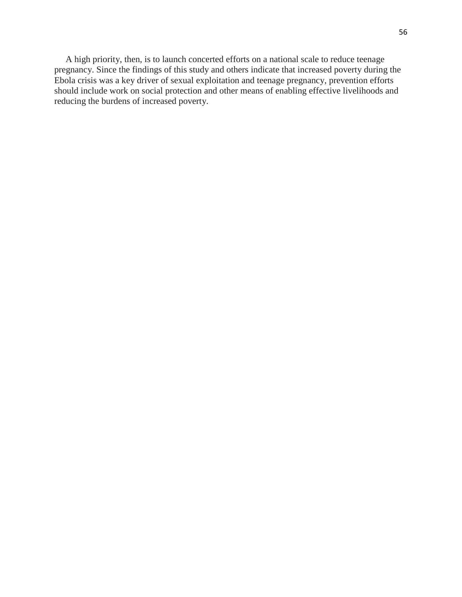A high priority, then, is to launch concerted efforts on a national scale to reduce teenage pregnancy. Since the findings of this study and others indicate that increased poverty during the Ebola crisis was a key driver of sexual exploitation and teenage pregnancy, prevention efforts should include work on social protection and other means of enabling effective livelihoods and reducing the burdens of increased poverty.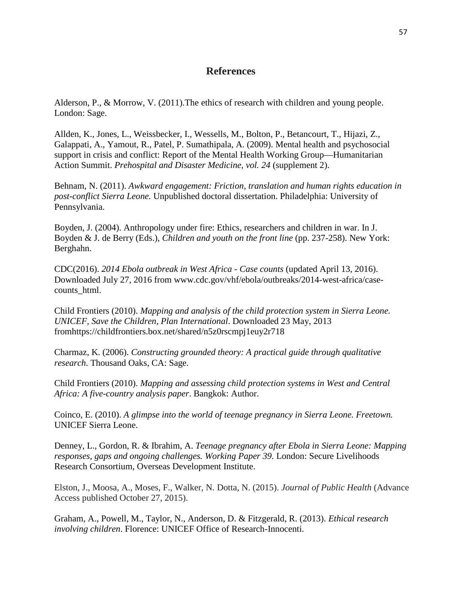# **References**

Alderson, P., & Morrow, V. (2011).The ethics of research with children and young people. London: Sage.

Allden, K., Jones, L., Weissbecker, I., Wessells, M., Bolton, P., Betancourt, T., Hijazi, Z., Galappati, A., Yamout, R., Patel, P. Sumathipala, A. (2009). Mental health and psychosocial support in crisis and conflict: Report of the Mental Health Working Group—Humanitarian Action Summit. *Prehospital and Disaster Medicine, vol. 24* (supplement 2).

Behnam, N. (2011). *Awkward engagement: Friction, translation and human rights education in post-conflict Sierra Leone.* Unpublished doctoral dissertation. Philadelphia: University of Pennsylvania.

Boyden, J. (2004). Anthropology under fire: Ethics, researchers and children in war. In J. Boyden & J. de Berry (Eds.), *Children and youth on the front line* (pp. 237-258). New York: Berghahn.

CDC(2016). *2014 Ebola outbreak in West Africa - Case counts* (updated April 13, 2016). Downloaded July 27, 2016 from www.cdc.gov/vhf/ebola/outbreaks/2014-west-africa/casecounts\_html.

Child Frontiers (2010). *Mapping and analysis of the child protection system in Sierra Leone. UNICEF, Save the Children, Plan International*. Downloaded 23 May, 2013 fromhttps://childfrontiers.box.net/shared/n5z0rscmpj1euy2r718

Charmaz, K. (2006). *Constructing grounded theory: A practical guide through qualitative research*. Thousand Oaks, CA: Sage.

Child Frontiers (2010). *Mapping and assessing child protection systems in West and Central Africa: A five-country analysis paper*. Bangkok: Author.

Coinco, E. (2010). *A glimpse into the world of teenage pregnancy in Sierra Leone. Freetown.* UNICEF Sierra Leone.

Denney, L., Gordon, R. & Ibrahim, A. *Teenage pregnancy after Ebola in Sierra Leone: Mapping responses, gaps and ongoing challenges. Working Paper 39.* London: Secure Livelihoods Research Consortium, Overseas Development Institute.

Elston, J., Moosa, A., Moses, F., Walker, N. Dotta, N. (2015). *Journal of Public Health* (Advance Access published October 27, 2015).

Graham, A., Powell, M., Taylor, N., Anderson, D. & Fitzgerald, R. (2013). *Ethical research involving children*. Florence: UNICEF Office of Research-Innocenti.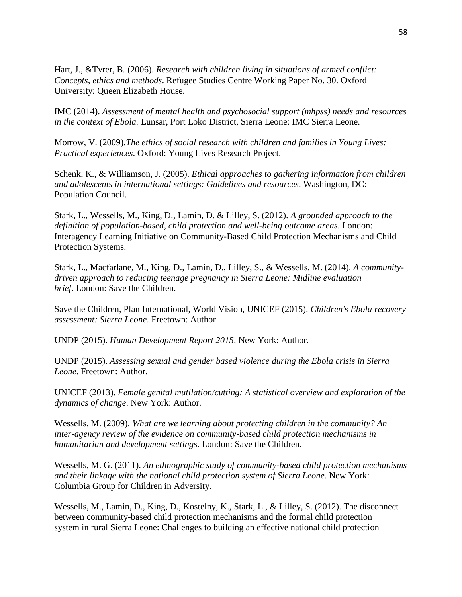Hart, J., &Tyrer, B. (2006). *Research with children living in situations of armed conflict: Concepts, ethics and methods*. Refugee Studies Centre Working Paper No. 30. Oxford University: Queen Elizabeth House.

IMC (2014). *Assessment of mental health and psychosocial support (mhpss) needs and resources in the context of Ebola.* Lunsar, Port Loko District, Sierra Leone: IMC Sierra Leone.

Morrow, V. (2009).*The ethics of social research with children and families in Young Lives: Practical experiences*. Oxford: Young Lives Research Project.

Schenk, K., & Williamson, J. (2005). *Ethical approaches to gathering information from children and adolescents in international settings: Guidelines and resources*. Washington, DC: Population Council.

Stark, L., Wessells, M., King, D., Lamin, D. & Lilley, S. (2012). *A grounded approach to the definition of population-based, child protection and well-being outcome areas*. London: Interagency Learning Initiative on Community-Based Child Protection Mechanisms and Child Protection Systems.

Stark, L., Macfarlane, M., King, D., Lamin, D., Lilley, S., & Wessells, M. (2014). *A communitydriven approach to reducing teenage pregnancy in Sierra Leone: Midline evaluation brief*. London: Save the Children.

Save the Children, Plan International, World Vision, UNICEF (2015). *Children's Ebola recovery assessment: Sierra Leone*. Freetown: Author.

UNDP (2015). *Human Development Report 2015*. New York: Author.

UNDP (2015). *Assessing sexual and gender based violence during the Ebola crisis in Sierra Leone*. Freetown: Author.

UNICEF (2013). *Female genital mutilation/cutting: A statistical overview and exploration of the dynamics of change*. New York: Author.

Wessells, M. (2009). *What are we learning about protecting children in the community? An inter-agency review of the evidence on community-based child protection mechanisms in humanitarian and development settings*. London: Save the Children.

Wessells, M. G. (2011). *An ethnographic study of community-based child protection mechanisms and their linkage with the national child protection system of Sierra Leone.* New York: Columbia Group for Children in Adversity.

Wessells, M., Lamin, D., King, D., Kostelny, K., Stark, L., & Lilley, S. (2012). The disconnect between community-based child protection mechanisms and the formal child protection system in rural Sierra Leone: Challenges to building an effective national child protection